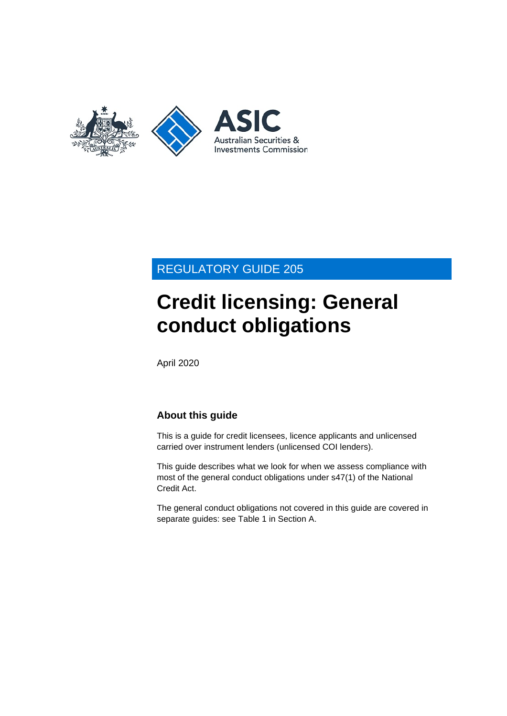

## REGULATORY GUIDE 205

# **Credit licensing: General conduct obligations**

April 2020

## **About this guide**

This is a guide for credit licensees, licence applicants and unlicensed carried over instrument lenders (unlicensed COI lenders).

This guide describes what we look for when we assess compliance with most of the general conduct obligations under s47(1) of the National Credit Act.

The general conduct obligations not covered in this guide are covered in separate guides: see [Table 1](#page-4-0) in Section [A.](#page-3-0)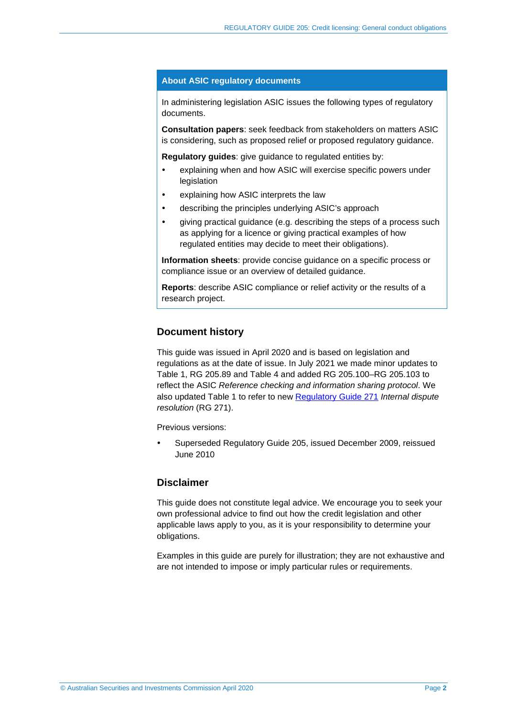#### **About ASIC regulatory documents**

In administering legislation ASIC issues the following types of regulatory documents.

**Consultation papers**: seek feedback from stakeholders on matters ASIC is considering, such as proposed relief or proposed regulatory guidance.

**Regulatory guides**: give guidance to regulated entities by:

- explaining when and how ASIC will exercise specific powers under legislation
- explaining how ASIC interprets the law
- describing the principles underlying ASIC's approach
- giving practical guidance (e.g. describing the steps of a process such as applying for a licence or giving practical examples of how regulated entities may decide to meet their obligations).

**Information sheets**: provide concise guidance on a specific process or compliance issue or an overview of detailed guidance.

**Reports**: describe ASIC compliance or relief activity or the results of a research project.

#### **Document history**

This guide was issued in April 2020 and is based on legislation and regulations as at the date of issue. In July 2021 we made minor updates to [Table 1,](#page-4-0) [RG 205.89](#page-24-0) and [Table 4](#page-33-0) and added [RG 205.100](#page-26-0)[–RG 205.103](#page-26-1) to reflect the ASIC *Reference checking and information sharing protocol*. We also updated [Table 1](#page-4-0) to refer to new [Regulatory Guide](https://asic.gov.au/regulatory-resources/find-a-document/regulatory-guides/rg-271-internal-dispute-resolution/) 271 *Internal dispute resolution* (RG 271).

Previous versions:

 Superseded Regulatory Guide 205, issued December 2009, reissued June 2010

#### **Disclaimer**

This guide does not constitute legal advice. We encourage you to seek your own professional advice to find out how the credit legislation and other applicable laws apply to you, as it is your responsibility to determine your obligations.

Examples in this guide are purely for illustration; they are not exhaustive and are not intended to impose or imply particular rules or requirements.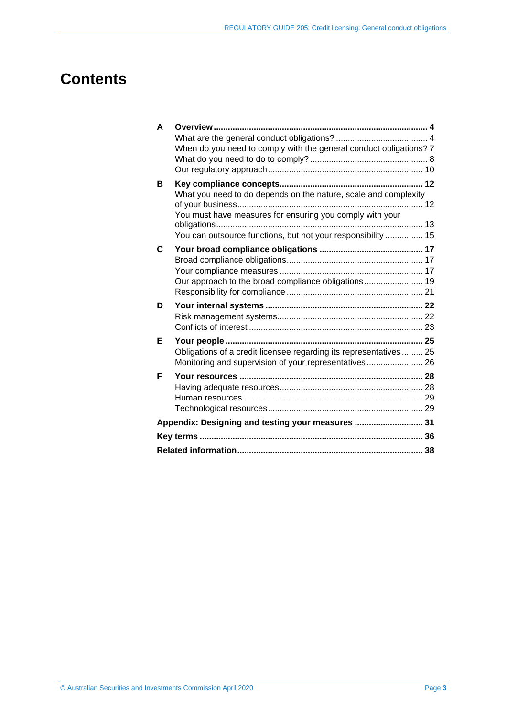## **Contents**

| A | Overview                                                           |  |
|---|--------------------------------------------------------------------|--|
|   |                                                                    |  |
|   | When do you need to comply with the general conduct obligations? 7 |  |
|   |                                                                    |  |
|   |                                                                    |  |
| В |                                                                    |  |
|   | What you need to do depends on the nature, scale and complexity    |  |
|   | You must have measures for ensuring you comply with your           |  |
|   | You can outsource functions, but not your responsibility  15       |  |
|   |                                                                    |  |
| C |                                                                    |  |
|   |                                                                    |  |
|   |                                                                    |  |
|   | Our approach to the broad compliance obligations 19                |  |
|   |                                                                    |  |
| D |                                                                    |  |
|   |                                                                    |  |
|   |                                                                    |  |
| Е |                                                                    |  |
|   | Obligations of a credit licensee regarding its representatives 25  |  |
|   | Monitoring and supervision of your representatives 26              |  |
| F |                                                                    |  |
|   |                                                                    |  |
|   |                                                                    |  |
|   |                                                                    |  |
|   | Appendix: Designing and testing your measures  31                  |  |
|   |                                                                    |  |
|   |                                                                    |  |
|   |                                                                    |  |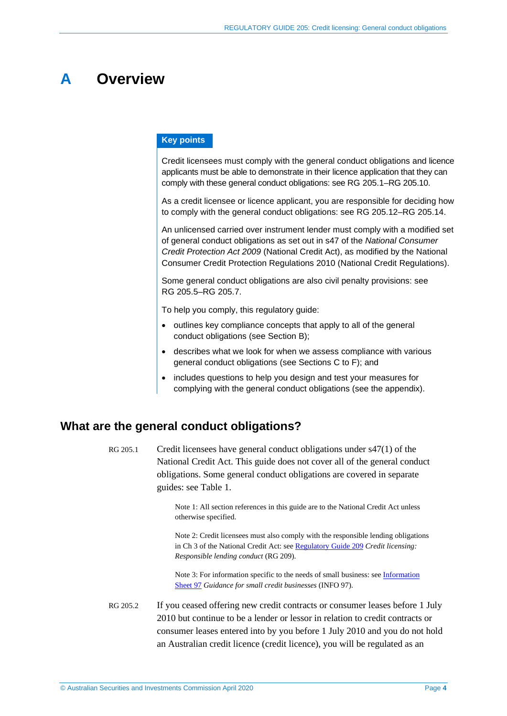## <span id="page-3-0"></span>**A Overview**

#### **Key points**

Credit licensees must comply with the general conduct obligations and licence applicants must be able to demonstrate in their licence application that they can comply with these general conduct obligations: see [RG 205.1](#page-3-2)[–RG 205.10.](#page-7-1)

As a credit licensee or licence applicant, you are responsible for deciding how to comply with the general conduct obligations: see [RG 205.12–](#page-7-2)[RG 205.14.](#page-7-3)

An unlicensed carried over instrument lender must comply with a modified set of general conduct obligations as set out in s47 of the *National Consumer Credit Protection Act 2009* (National Credit Act), as modified by the National Consumer Credit Protection Regulations 2010 (National Credit Regulations).

Some general conduct obligations are also civil penalty provisions: see RG [205.5–](#page-6-1)[RG 205.7.](#page-6-2)

To help you comply, this regulatory guide:

- outlines key compliance concepts that apply to all of the general conduct obligations (see Section [B\)](#page-11-0);
- describes what we look for when we assess compliance with various general conduct obligations (see Sections [C](#page-16-0) to [F\)](#page-27-0); and
- includes questions to help you design and test your measures for complying with the general conduct obligations (see the appendix).

## <span id="page-3-2"></span><span id="page-3-1"></span>**What are the general conduct obligations?**

RG 205.1 Credit licensees have general conduct obligations under s47(1) of the National Credit Act. This guide does not cover all of the general conduct obligations. Some general conduct obligations are covered in separate guides: see [Table 1.](#page-4-0)

> Note 1: All section references in this guide are to the National Credit Act unless otherwise specified.

Note 2: Credit licensees must also comply with the responsible lending obligations in Ch 3 of the National Credit Act: see [Regulatory Guide 209](https://asic.gov.au/regulatory-resources/find-a-document/regulatory-guides/rg-209-credit-licensing-responsible-lending-conduct/) *Credit licensing: Responsible lending conduct* (RG 209).

Note 3: For information specific to the needs of small business: see [Information](https://asic.gov.au/for-finance-professionals/credit-licensees/applying-for-and-managing-your-credit-licence/guidance-for-small-credit-businesses/)  [Sheet](https://asic.gov.au/for-finance-professionals/credit-licensees/applying-for-and-managing-your-credit-licence/guidance-for-small-credit-businesses/) 97 *Guidance for small credit businesses* (INFO 97).

RG 205.2 If you ceased offering new credit contracts or consumer leases before 1 July 2010 but continue to be a lender or lessor in relation to credit contracts or consumer leases entered into by you before 1 July 2010 and you do not hold an Australian credit licence (credit licence), you will be regulated as an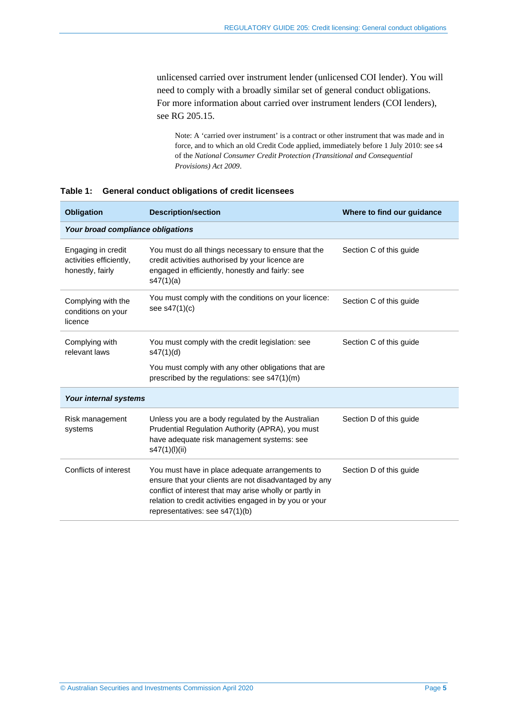unlicensed carried over instrument lender (unlicensed COI lender). You will need to comply with a broadly similar set of general conduct obligations. For more information about carried over instrument lenders (COI lenders), see [RG 205.15.](#page-8-0)

Note: A 'carried over instrument' is a contract or other instrument that was made and in force, and to which an old Credit Code applied, immediately before 1 July 2010: see s4 of the *National Consumer Credit Protection (Transitional and Consequential Provisions) Act 2009*.

| <b>Obligation</b>                                                 | <b>Description/section</b>                                                                                                                                                                                                                                       | Where to find our guidance |
|-------------------------------------------------------------------|------------------------------------------------------------------------------------------------------------------------------------------------------------------------------------------------------------------------------------------------------------------|----------------------------|
| Your broad compliance obligations                                 |                                                                                                                                                                                                                                                                  |                            |
| Engaging in credit<br>activities efficiently,<br>honestly, fairly | You must do all things necessary to ensure that the<br>credit activities authorised by your licence are<br>engaged in efficiently, honestly and fairly: see<br>s47(1)(a)                                                                                         | Section C of this guide    |
| Complying with the<br>conditions on your<br>licence               | You must comply with the conditions on your licence:<br>see $s47(1)(c)$                                                                                                                                                                                          | Section C of this guide    |
| Complying with<br>relevant laws                                   | You must comply with the credit legislation: see<br>s47(1)(d)                                                                                                                                                                                                    | Section C of this guide    |
|                                                                   | You must comply with any other obligations that are<br>prescribed by the regulations: see s47(1)(m)                                                                                                                                                              |                            |
| Your internal systems                                             |                                                                                                                                                                                                                                                                  |                            |
| Risk management<br>systems                                        | Unless you are a body regulated by the Australian<br>Prudential Regulation Authority (APRA), you must<br>have adequate risk management systems: see<br>s47(1)(l)(ii)                                                                                             | Section D of this guide    |
| Conflicts of interest                                             | You must have in place adequate arrangements to<br>ensure that your clients are not disadvantaged by any<br>conflict of interest that may arise wholly or partly in<br>relation to credit activities engaged in by you or your<br>representatives: see s47(1)(b) | Section D of this guide    |

<span id="page-4-0"></span>**Table 1: General conduct obligations of credit licensees**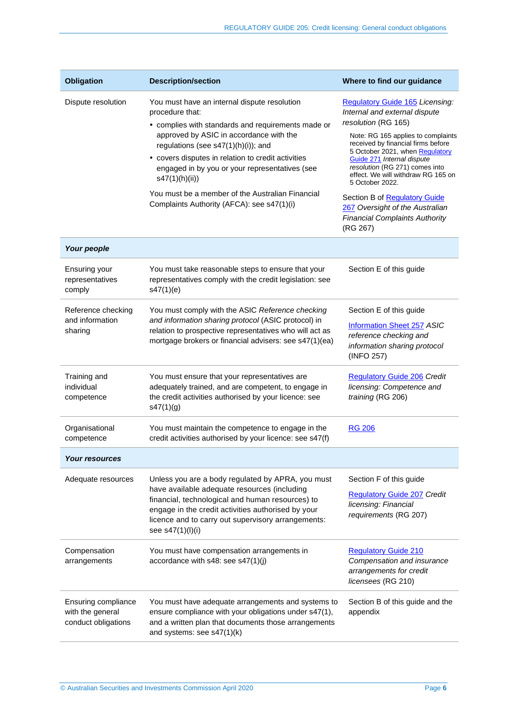| <b>Obligation</b>                                              | <b>Description/section</b>                                                                                                                                                                                                                                                                                                                                                                                                          | Where to find our guidance                                                                                                                                                                                                                                                                                                                                                                                                                                      |
|----------------------------------------------------------------|-------------------------------------------------------------------------------------------------------------------------------------------------------------------------------------------------------------------------------------------------------------------------------------------------------------------------------------------------------------------------------------------------------------------------------------|-----------------------------------------------------------------------------------------------------------------------------------------------------------------------------------------------------------------------------------------------------------------------------------------------------------------------------------------------------------------------------------------------------------------------------------------------------------------|
| Dispute resolution                                             | You must have an internal dispute resolution<br>procedure that:<br>• complies with standards and requirements made or<br>approved by ASIC in accordance with the<br>regulations (see s47(1)(h)(i)); and<br>• covers disputes in relation to credit activities<br>engaged in by you or your representatives (see<br>s47(1)(h)(ii))<br>You must be a member of the Australian Financial<br>Complaints Authority (AFCA): see s47(1)(i) | <b>Regulatory Guide 165 Licensing:</b><br>Internal and external dispute<br>resolution (RG 165)<br>Note: RG 165 applies to complaints<br>received by financial firms before<br>5 October 2021, when Regulatory<br>Guide 271 Internal dispute<br>resolution (RG 271) comes into<br>effect. We will withdraw RG 165 on<br>5 October 2022.<br>Section B of Regulatory Guide<br>267 Oversight of the Australian<br><b>Financial Complaints Authority</b><br>(RG 267) |
| Your people                                                    |                                                                                                                                                                                                                                                                                                                                                                                                                                     |                                                                                                                                                                                                                                                                                                                                                                                                                                                                 |
| Ensuring your<br>representatives<br>comply                     | You must take reasonable steps to ensure that your<br>representatives comply with the credit legislation: see<br>s47(1)(e)                                                                                                                                                                                                                                                                                                          | Section E of this guide                                                                                                                                                                                                                                                                                                                                                                                                                                         |
| Reference checking<br>and information<br>sharing               | You must comply with the ASIC Reference checking<br>and information sharing protocol (ASIC protocol) in<br>relation to prospective representatives who will act as<br>mortgage brokers or financial advisers: see s47(1)(ea)                                                                                                                                                                                                        | Section E of this guide<br>Information Sheet 257 ASIC<br>reference checking and<br>information sharing protocol<br>(INFO 257)                                                                                                                                                                                                                                                                                                                                   |
| Training and<br>individual<br>competence                       | You must ensure that your representatives are<br>adequately trained, and are competent, to engage in<br>the credit activities authorised by your licence: see<br>s47(1)(g)                                                                                                                                                                                                                                                          | <b>Regulatory Guide 206 Credit</b><br>licensing: Competence and<br>training (RG 206)                                                                                                                                                                                                                                                                                                                                                                            |
| Organisational<br>competence                                   | You must maintain the competence to engage in the<br>credit activities authorised by your licence: see s47(f)                                                                                                                                                                                                                                                                                                                       | <b>RG 206</b>                                                                                                                                                                                                                                                                                                                                                                                                                                                   |
| <b>Your resources</b>                                          |                                                                                                                                                                                                                                                                                                                                                                                                                                     |                                                                                                                                                                                                                                                                                                                                                                                                                                                                 |
| Adequate resources                                             | Unless you are a body regulated by APRA, you must<br>have available adequate resources (including<br>financial, technological and human resources) to<br>engage in the credit activities authorised by your<br>licence and to carry out supervisory arrangements:<br>see s47(1)(l)(i)                                                                                                                                               | Section F of this guide<br><b>Regulatory Guide 207 Credit</b><br>licensing: Financial<br>requirements (RG 207)                                                                                                                                                                                                                                                                                                                                                  |
| Compensation<br>arrangements                                   | You must have compensation arrangements in<br>accordance with s48: see s47(1)(j)                                                                                                                                                                                                                                                                                                                                                    | <b>Regulatory Guide 210</b><br>Compensation and insurance<br>arrangements for credit<br>licensees (RG 210)                                                                                                                                                                                                                                                                                                                                                      |
| Ensuring compliance<br>with the general<br>conduct obligations | You must have adequate arrangements and systems to<br>ensure compliance with your obligations under s47(1),<br>and a written plan that documents those arrangements<br>and systems: see s47(1)(k)                                                                                                                                                                                                                                   | Section B of this guide and the<br>appendix                                                                                                                                                                                                                                                                                                                                                                                                                     |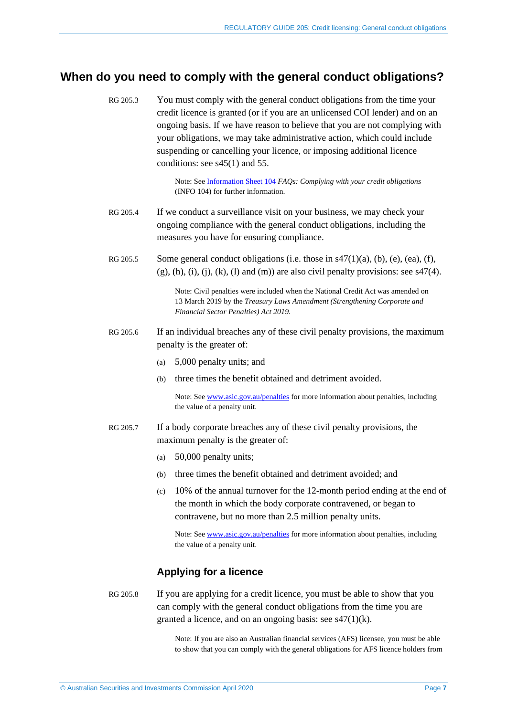## <span id="page-6-0"></span>**When do you need to comply with the general conduct obligations?**

RG 205.3 You must comply with the general conduct obligations from the time your credit licence is granted (or if you are an unlicensed COI lender) and on an ongoing basis. If we have reason to believe that you are not complying with your obligations, we may take administrative action, which could include suspending or cancelling your licence, or imposing additional licence conditions: see s45(1) and 55.

> Note: See [Information Sheet 104](https://asic.gov.au/regulatory-resources/credit/credit-general-conduct-obligations/faqs-complying-with-your-credit-obligations/) *FAQs: Complying with your credit obligations* (INFO 104) for further information.

- RG 205.4 If we conduct a surveillance visit on your business, we may check your ongoing compliance with the general conduct obligations, including the measures you have for ensuring compliance.
- <span id="page-6-1"></span>RG 205.5 Some general conduct obligations (i.e. those in s47(1)(a), (b), (e), (ea), (f),  $(g)$ , (h), (i), (i), (k), (l) and (m)) are also civil penalty provisions: see s47(4).

Note: Civil penalties were included when the National Credit Act was amended on 13 March 2019 by the *Treasury Laws Amendment (Strengthening Corporate and Financial Sector Penalties) Act 2019*.

- RG 205.6 If an individual breaches any of these civil penalty provisions, the maximum penalty is the greater of:
	- (a) 5,000 penalty units; and
	- (b) three times the benefit obtained and detriment avoided.

Note: See [www.asic.gov.au/penalties](http://www.asic.gov.au/penalties) for more information about penalties, including the value of a penalty unit.

- <span id="page-6-2"></span>RG 205.7 If a body corporate breaches any of these civil penalty provisions, the maximum penalty is the greater of:
	- (a) 50,000 penalty units;
	- (b) three times the benefit obtained and detriment avoided; and
	- (c) 10% of the annual turnover for the 12-month period ending at the end of the month in which the body corporate contravened, or began to contravene, but no more than 2.5 million penalty units.

Note: See [www.asic.gov.au/penalties](http://www.asic.gov.au/penalties) for more information about penalties, including the value of a penalty unit.

#### **Applying for a licence**

RG 205.8 If you are applying for a credit licence, you must be able to show that you can comply with the general conduct obligations from the time you are granted a licence, and on an ongoing basis: see s47(1)(k).

> Note: If you are also an Australian financial services (AFS) licensee, you must be able to show that you can comply with the general obligations for AFS licence holders from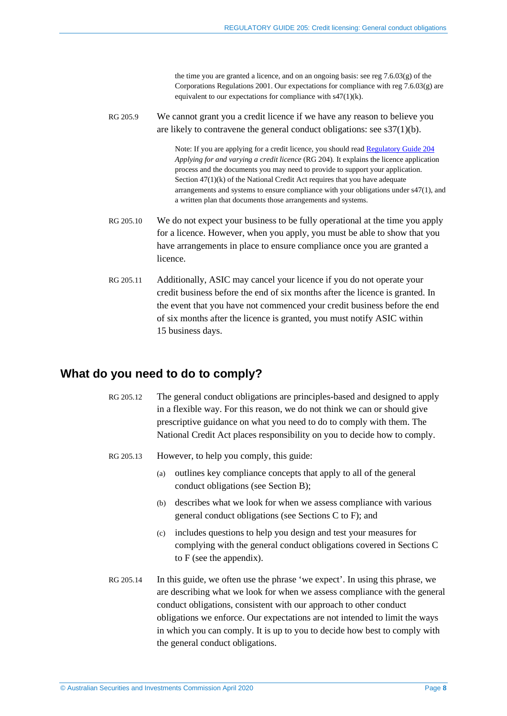the time you are granted a licence, and on an ongoing basis: see reg 7.6.03(g) of the Corporations Regulations 2001. Our expectations for compliance with reg 7.6.03(g) are equivalent to our expectations for compliance with s47(1)(k).

RG 205.9 We cannot grant you a credit licence if we have any reason to believe you are likely to contravene the general conduct obligations: see s37(1)(b).

> Note: If you are applying for a credit licence, you should read [Regulatory Guide 204](https://asic.gov.au/regulatory-resources/find-a-document/regulatory-guides/rg-204-applying-for-and-varying-a-credit-licence/) *Applying for and varying a credit licence* (RG 204)*.* It explains the licence application process and the documents you may need to provide to support your application. Section 47(1)(k) of the National Credit Act requires that you have adequate arrangements and systems to ensure compliance with your obligations under s47(1), and a written plan that documents those arrangements and systems.

- <span id="page-7-1"></span>RG 205.10 We do not expect your business to be fully operational at the time you apply for a licence. However, when you apply, you must be able to show that you have arrangements in place to ensure compliance once you are granted a licence.
- RG 205.11 Additionally, ASIC may cancel your licence if you do not operate your credit business before the end of six months after the licence is granted. In the event that you have not commenced your credit business before the end of six months after the licence is granted, you must notify ASIC within 15 business days.

### <span id="page-7-2"></span><span id="page-7-0"></span>**What do you need to do to comply?**

- RG 205.12 The general conduct obligations are principles-based and designed to apply in a flexible way. For this reason, we do not think we can or should give prescriptive guidance on what you need to do to comply with them. The National Credit Act places responsibility on you to decide how to comply.
- RG 205.13 However, to help you comply, this guide:
	- (a) outlines key compliance concepts that apply to all of the general conduct obligations (see Section [B\)](#page-11-0);
	- (b) describes what we look for when we assess compliance with various general conduct obligations (see Sections [C](#page-16-0) to [F\)](#page-27-0); and
	- (c) includes questions to help you design and test your measures for complying with the general conduct obligations covered in Sections [C](#page-16-0) to [F](#page-27-0) (see the appendix).
- <span id="page-7-3"></span>RG 205.14 In this guide, we often use the phrase 'we expect'. In using this phrase, we are describing what we look for when we assess compliance with the general conduct obligations, consistent with our approach to other conduct obligations we enforce. Our expectations are not intended to limit the ways in which you can comply. It is up to you to decide how best to comply with the general conduct obligations.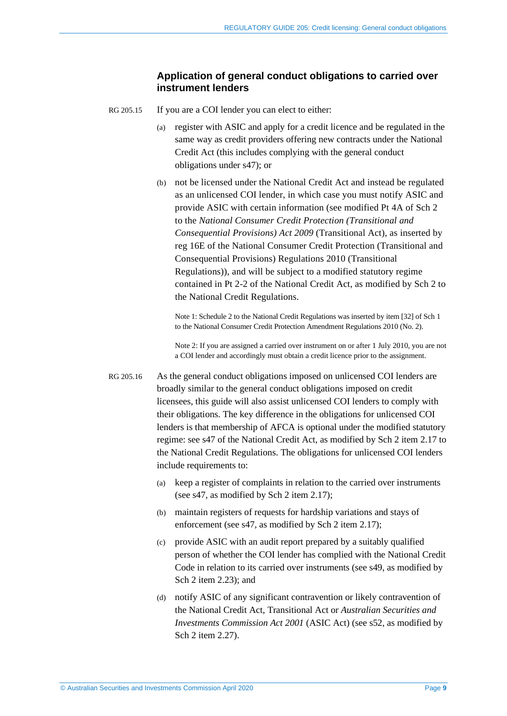#### **Application of general conduct obligations to carried over instrument lenders**

- <span id="page-8-0"></span>RG 205.15 If you are a COI lender you can elect to either:
	- (a) register with ASIC and apply for a credit licence and be regulated in the same way as credit providers offering new contracts under the National Credit Act (this includes complying with the general conduct obligations under s47); or
	- (b) not be licensed under the National Credit Act and instead be regulated as an unlicensed COI lender, in which case you must notify ASIC and provide ASIC with certain information (see modified Pt 4A of Sch 2 to the *National Consumer Credit Protection (Transitional and Consequential Provisions) Act 2009* (Transitional Act), as inserted by reg 16E of the National Consumer Credit Protection (Transitional and Consequential Provisions) Regulations 2010 (Transitional Regulations)), and will be subject to a modified statutory regime contained in Pt 2-2 of the National Credit Act, as modified by Sch 2 to the National Credit Regulations.

Note 1: Schedule 2 to the National Credit Regulations was inserted by item [32] of Sch 1 to the National Consumer Credit Protection Amendment Regulations 2010 (No. 2).

Note 2: If you are assigned a carried over instrument on or after 1 July 2010, you are not a COI lender and accordingly must obtain a credit licence prior to the assignment.

- <span id="page-8-1"></span>RG 205.16 As the general conduct obligations imposed on unlicensed COI lenders are broadly similar to the general conduct obligations imposed on credit licensees, this guide will also assist unlicensed COI lenders to comply with their obligations. The key difference in the obligations for unlicensed COI lenders is that membership of AFCA is optional under the modified statutory regime: see s47 of the National Credit Act, as modified by Sch 2 item 2.17 to the National Credit Regulations. The obligations for unlicensed COI lenders include requirements to:
	- (a) keep a register of complaints in relation to the carried over instruments (see s47, as modified by Sch 2 item 2.17);
	- (b) maintain registers of requests for hardship variations and stays of enforcement (see s47, as modified by Sch 2 item 2.17);
	- (c) provide ASIC with an audit report prepared by a suitably qualified person of whether the COI lender has complied with the National Credit Code in relation to its carried over instruments (see s49, as modified by Sch 2 item 2.23); and
	- (d) notify ASIC of any significant contravention or likely contravention of the National Credit Act, Transitional Act or *Australian Securities and Investments Commission Act 2001* (ASIC Act) (see s52, as modified by Sch 2 item 2.27).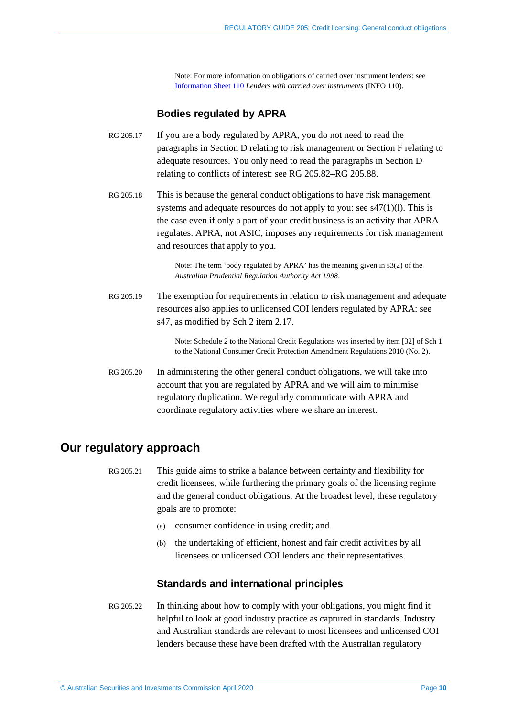Note: For more information on obligations of carried over instrument lenders: see [Information Sheet 110](https://asic.gov.au/for-finance-professionals/credit-licensees/your-ongoing-credit-licence-obligations/lenders-with-carried-over-instruments/) *Lenders with carried over instruments* (INFO 110).

#### **Bodies regulated by APRA**

- <span id="page-9-1"></span>RG 205.17 If you are a body regulated by APRA, you do not need to read the paragraphs in Section [D](#page-21-0) relating to risk management or Section [F](#page-27-0) relating to adequate resources. You only need to read the paragraphs in Section [D](#page-21-0) relating to conflicts of interest: see [RG 205.82](#page-22-1)[–RG 205.88.](#page-23-0)
- RG 205.18 This is because the general conduct obligations to have risk management systems and adequate resources do not apply to you: see s47(1)(l). This is the case even if only a part of your credit business is an activity that APRA regulates. APRA, not ASIC, imposes any requirements for risk management and resources that apply to you.

Note: The term 'body regulated by APRA' has the meaning given in s3(2) of the *Australian Prudential Regulation Authority Act 1998*.

RG 205.19 The exemption for requirements in relation to risk management and adequate resources also applies to unlicensed COI lenders regulated by APRA: see s47, as modified by Sch 2 item 2.17.

> Note: Schedule 2 to the National Credit Regulations was inserted by item [32] of Sch 1 to the National Consumer Credit Protection Amendment Regulations 2010 (No. 2).

<span id="page-9-2"></span>RG 205.20 In administering the other general conduct obligations, we will take into account that you are regulated by APRA and we will aim to minimise regulatory duplication. We regularly communicate with APRA and coordinate regulatory activities where we share an interest.

## <span id="page-9-0"></span>**Our regulatory approach**

- RG 205.21 This guide aims to strike a balance between certainty and flexibility for credit licensees, while furthering the primary goals of the licensing regime and the general conduct obligations. At the broadest level, these regulatory goals are to promote:
	- (a) consumer confidence in using credit; and
	- (b) the undertaking of efficient, honest and fair credit activities by all licensees or unlicensed COI lenders and their representatives.

#### **Standards and international principles**

RG 205.22 In thinking about how to comply with your obligations, you might find it helpful to look at good industry practice as captured in standards. Industry and Australian standards are relevant to most licensees and unlicensed COI lenders because these have been drafted with the Australian regulatory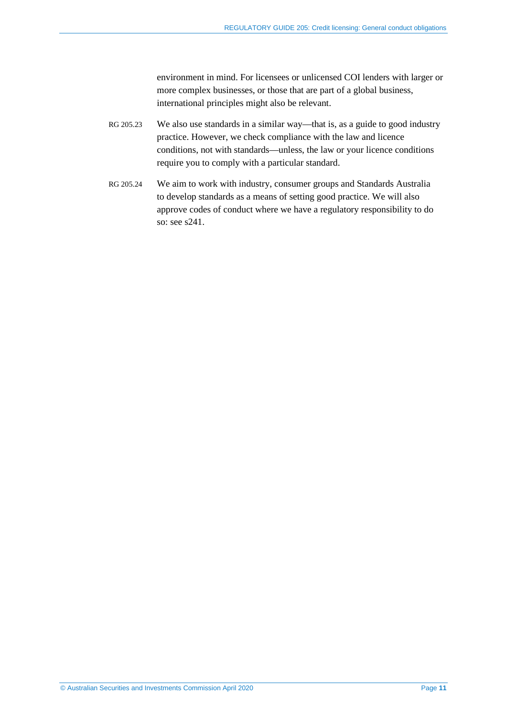environment in mind. For licensees or unlicensed COI lenders with larger or more complex businesses, or those that are part of a global business, international principles might also be relevant.

- RG 205.23 We also use standards in a similar way—that is, as a guide to good industry practice. However, we check compliance with the law and licence conditions, not with standards—unless, the law or your licence conditions require you to comply with a particular standard.
- RG 205.24 We aim to work with industry, consumer groups and Standards Australia to develop standards as a means of setting good practice. We will also approve codes of conduct where we have a regulatory responsibility to do so: see s241.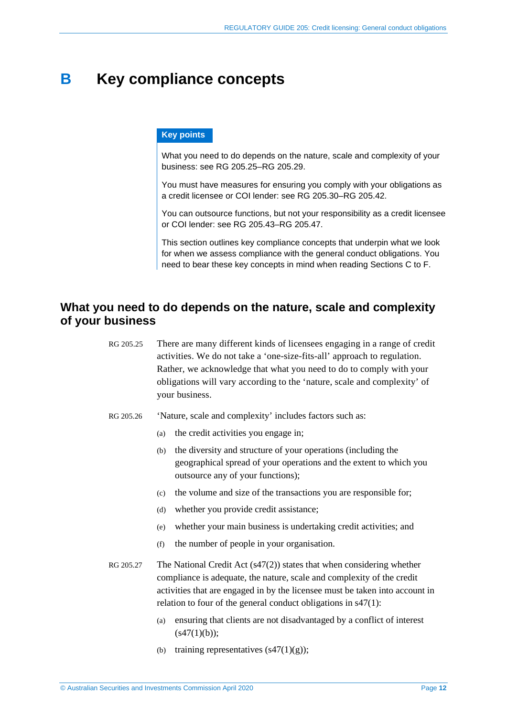## <span id="page-11-0"></span>**B Key compliance concepts**

#### **Key points**

What you need to do depends on the nature, scale and complexity of your business: see [RG 205.25–](#page-11-2)[RG 205.29.](#page-12-1)

You must have measures for ensuring you comply with your obligations as a credit licensee or COI lender: see [RG 205.30](#page-12-2)[–RG 205.42.](#page-14-1)

You can outsource functions, but not your responsibility as a credit licensee or COI lender: see [RG 205.43–](#page-14-2)[RG 205.47.](#page-15-0)

This section outlines key compliance concepts that underpin what we look for when we assess compliance with the general conduct obligations. You need to bear these key concepts in mind when reading Sections [C](#page-16-0) to [F.](#page-27-0)

## <span id="page-11-2"></span><span id="page-11-1"></span>**What you need to do depends on the nature, scale and complexity of your business**

| RG 205.25 | There are many different kinds of licensees engaging in a range of credit |
|-----------|---------------------------------------------------------------------------|
|           | activities. We do not take a 'one-size-fits-all' approach to regulation.  |
|           | Rather, we acknowledge that what you need to do to comply with your       |
|           | obligations will vary according to the 'nature, scale and complexity' of  |
|           | your business.                                                            |

- <span id="page-11-3"></span>RG 205.26 'Nature, scale and complexity' includes factors such as:
	- (a) the credit activities you engage in;
	- (b) the diversity and structure of your operations (including the geographical spread of your operations and the extent to which you outsource any of your functions);
	- (c) the volume and size of the transactions you are responsible for;
	- (d) whether you provide credit assistance;
	- (e) whether your main business is undertaking credit activities; and
	- (f) the number of people in your organisation.
- RG 205.27 The National Credit Act (s47(2)) states that when considering whether compliance is adequate, the nature, scale and complexity of the credit activities that are engaged in by the licensee must be taken into account in relation to four of the general conduct obligations in s47(1):
	- (a) ensuring that clients are not disadvantaged by a conflict of interest  $(s47(1)(b))$ ;
	- (b) training representatives  $(s47(1)(g))$ ;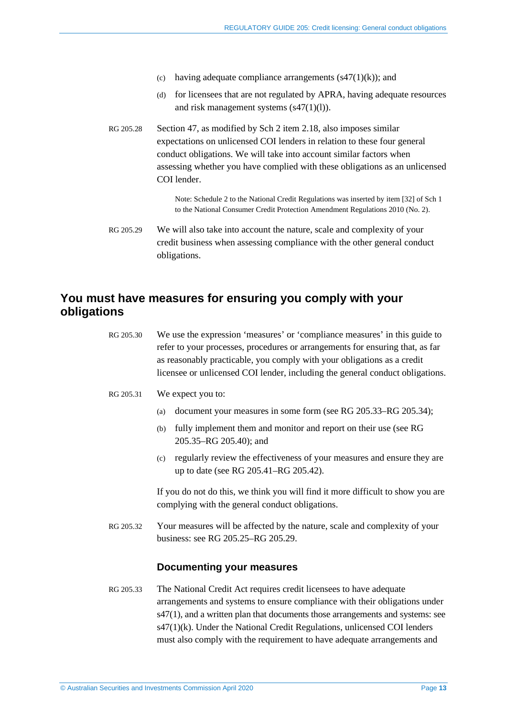- (c) having adequate compliance arrangements  $(s47(1)(k))$ ; and
- (d) for licensees that are not regulated by APRA, having adequate resources and risk management systems (s47(1)(l)).
- RG 205.28 Section 47, as modified by Sch 2 item 2.18, also imposes similar expectations on unlicensed COI lenders in relation to these four general conduct obligations. We will take into account similar factors when assessing whether you have complied with these obligations as an unlicensed COI lender.

Note: Schedule 2 to the National Credit Regulations was inserted by item [32] of Sch 1 to the National Consumer Credit Protection Amendment Regulations 2010 (No. 2).

<span id="page-12-1"></span>RG 205.29 We will also take into account the nature, scale and complexity of your credit business when assessing compliance with the other general conduct obligations.

## <span id="page-12-2"></span><span id="page-12-0"></span>**You must have measures for ensuring you comply with your obligations**

<span id="page-12-3"></span>

| RG 205.30 | We use the expression 'measures' or 'compliance measures' in this guide to<br>refer to your processes, procedures or arrangements for ensuring that, as far<br>as reasonably practicable, you comply with your obligations as a credit<br>licensee or unlicensed COI lender, including the general conduct obligations.                                                                  |
|-----------|------------------------------------------------------------------------------------------------------------------------------------------------------------------------------------------------------------------------------------------------------------------------------------------------------------------------------------------------------------------------------------------|
| RG 205.31 | We expect you to:                                                                                                                                                                                                                                                                                                                                                                        |
|           | document your measures in some form (see RG 205.33–RG 205.34);<br>(a)                                                                                                                                                                                                                                                                                                                    |
|           | fully implement them and monitor and report on their use (see RG<br>(b)<br>205.35-RG 205.40); and                                                                                                                                                                                                                                                                                        |
|           | regularly review the effectiveness of your measures and ensure they are<br>(c)<br>up to date (see RG 205.41–RG 205.42).                                                                                                                                                                                                                                                                  |
|           | If you do not do this, we think you will find it more difficult to show you are<br>complying with the general conduct obligations.                                                                                                                                                                                                                                                       |
| RG 205.32 | Your measures will be affected by the nature, scale and complexity of your<br>business: see RG 205.25–RG 205.29.                                                                                                                                                                                                                                                                         |
|           | <b>Documenting your measures</b>                                                                                                                                                                                                                                                                                                                                                         |
| RG 205.33 | The National Credit Act requires credit licensees to have adequate<br>arrangements and systems to ensure compliance with their obligations under<br>s47(1), and a written plan that documents those arrangements and systems: see<br>s47(1)(k). Under the National Credit Regulations, unlicensed COI lenders<br>must also comply with the requirement to have adequate arrangements and |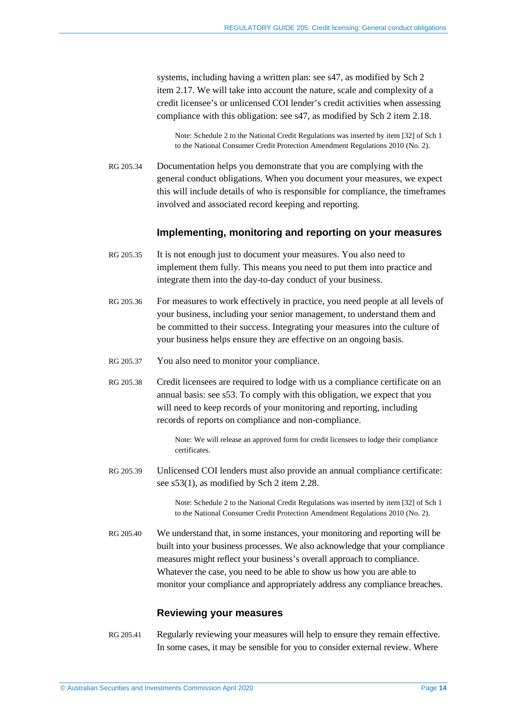systems, including having a written plan: see s47, as modified by Sch 2 item 2.17. We will take into account the nature, scale and complexity of a credit licensee's or unlicensed COI lender's credit activities when assessing compliance with this obligation: see s47, as modified by Sch 2 item 2.18.

Note: Schedule 2 to the National Credit Regulations was inserted by item [32] of Sch 1 to the National Consumer Credit Protection Amendment Regulations 2010 (No. 2).

<span id="page-13-0"></span>RG 205.34 Documentation helps you demonstrate that you are complying with the general conduct obligations. When you document your measures, we expect this will include details of who is responsible for compliance, the timeframes involved and associated record keeping and reporting.

#### **Implementing, monitoring and reporting on your measures**

- <span id="page-13-1"></span>RG 205.35 It is not enough just to document your measures. You also need to implement them fully. This means you need to put them into practice and integrate them into the day-to-day conduct of your business.
- RG 205.36 For measures to work effectively in practice, you need people at all levels of your business, including your senior management, to understand them and be committed to their success. Integrating your measures into the culture of your business helps ensure they are effective on an ongoing basis.
- RG 205.37 You also need to monitor your compliance.
- RG 205.38 Credit licensees are required to lodge with us a compliance certificate on an annual basis: see s53. To comply with this obligation, we expect that you will need to keep records of your monitoring and reporting, including records of reports on compliance and non-compliance.

Note: We will release an approved form for credit licensees to lodge their compliance certificates.

RG 205.39 Unlicensed COI lenders must also provide an annual compliance certificate: see s53(1), as modified by Sch 2 item 2.28.

> Note: Schedule 2 to the National Credit Regulations was inserted by item [32] of Sch 1 to the National Consumer Credit Protection Amendment Regulations 2010 (No. 2).

<span id="page-13-2"></span>RG 205.40 We understand that, in some instances, your monitoring and reporting will be built into your business processes. We also acknowledge that your compliance measures might reflect your business's overall approach to compliance. Whatever the case, you need to be able to show us how you are able to monitor your compliance and appropriately address any compliance breaches.

#### **Reviewing your measures**

<span id="page-13-3"></span>RG 205.41 Regularly reviewing your measures will help to ensure they remain effective. In some cases, it may be sensible for you to consider external review. Where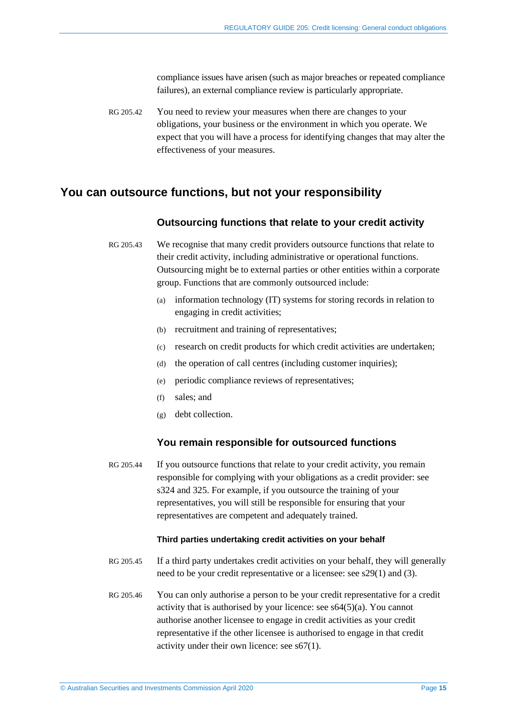compliance issues have arisen (such as major breaches or repeated compliance failures), an external compliance review is particularly appropriate.

<span id="page-14-1"></span>RG 205.42 You need to review your measures when there are changes to your obligations, your business or the environment in which you operate. We expect that you will have a process for identifying changes that may alter the effectiveness of your measures.

## <span id="page-14-2"></span><span id="page-14-0"></span>**You can outsource functions, but not your responsibility**

#### **Outsourcing functions that relate to your credit activity**

RG 205.43 We recognise that many credit providers outsource functions that relate to their credit activity, including administrative or operational functions. Outsourcing might be to external parties or other entities within a corporate group. Functions that are commonly outsourced include:

- (a) information technology (IT) systems for storing records in relation to engaging in credit activities;
- (b) recruitment and training of representatives;
- (c) research on credit products for which credit activities are undertaken;
- (d) the operation of call centres (including customer inquiries);
- (e) periodic compliance reviews of representatives;
- (f) sales; and
- (g) debt collection.

#### **You remain responsible for outsourced functions**

RG 205.44 If you outsource functions that relate to your credit activity, you remain responsible for complying with your obligations as a credit provider: see s324 and 325. For example, if you outsource the training of your representatives, you will still be responsible for ensuring that your representatives are competent and adequately trained.

#### **Third parties undertaking credit activities on your behalf**

- RG 205.45 If a third party undertakes credit activities on your behalf, they will generally need to be your credit representative or a licensee: see s29(1) and (3).
- RG 205.46 You can only authorise a person to be your credit representative for a credit activity that is authorised by your licence: see  $s64(5)(a)$ . You cannot authorise another licensee to engage in credit activities as your credit representative if the other licensee is authorised to engage in that credit activity under their own licence: see s67(1).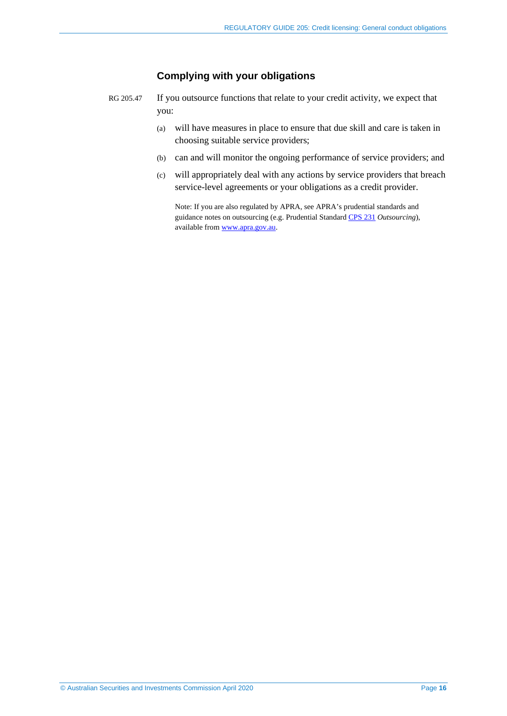#### **Complying with your obligations**

- <span id="page-15-0"></span>RG 205.47 If you outsource functions that relate to your credit activity, we expect that you:
	- (a) will have measures in place to ensure that due skill and care is taken in choosing suitable service providers;
	- (b) can and will monitor the ongoing performance of service providers; and
	- (c) will appropriately deal with any actions by service providers that breach service-level agreements or your obligations as a credit provider.

Note: If you are also regulated by APRA, see APRA's prudential standards and guidance notes on outsourcing (e.g. Prudential Standar[d CPS 231](https://www.apra.gov.au/industries/1/standards) *Outsourcing*), available from [www.apra.gov.au.](http://www.apra.gov.au/)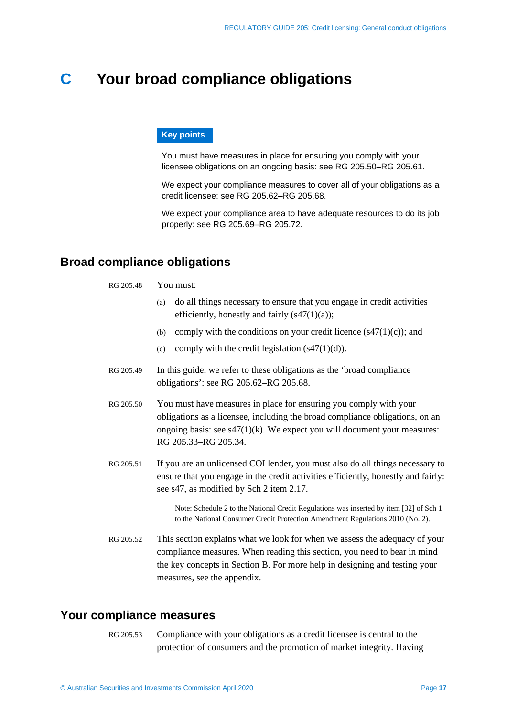## <span id="page-16-0"></span>**C Your broad compliance obligations**

#### **Key points**

You must have measures in place for ensuring you comply with your licensee obligations on an ongoing basis: see [RG 205.50–](#page-16-3)[RG 205.61.](#page-18-1) 

We expect your compliance measures to cover all of your obligations as a credit licensee: see [RG 205.62–](#page-18-2)[RG 205.68.](#page-19-0)

We expect your compliance area to have adequate resources to do its job properly: see [RG 205.69](#page-20-1)[–RG 205.72.](#page-20-2)

## <span id="page-16-1"></span>**Broad compliance obligations**

#### RG 205.48 You must:

- (a) do all things necessary to ensure that you engage in credit activities efficiently, honestly and fairly  $(s47(1)(a))$ ;
- (b) comply with the conditions on your credit licence  $(s47(1)(c))$ ; and
- (c) comply with the credit legislation  $(s47(1)(d))$ .
- RG 205.49 In this guide, we refer to these obligations as the 'broad compliance obligations': see [RG 205.62](#page-18-2)[–RG 205.68.](#page-19-0)
- <span id="page-16-3"></span>RG 205.50 You must have measures in place for ensuring you comply with your obligations as a licensee, including the broad compliance obligations, on an ongoing basis: see  $s47(1)(k)$ . We expect you will document your measures: [RG 205.33–](#page-12-3)[RG 205.34.](#page-13-0)
- RG 205.51 If you are an unlicensed COI lender, you must also do all things necessary to ensure that you engage in the credit activities efficiently, honestly and fairly: see s47, as modified by Sch 2 item 2.17.

Note: Schedule 2 to the National Credit Regulations was inserted by item [32] of Sch 1 to the National Consumer Credit Protection Amendment Regulations 2010 (No. 2).

RG 205.52 This section explains what we look for when we assess the adequacy of your compliance measures. When reading this section, you need to bear in mind the key concepts in Section [B.](#page-11-0) For more help in designing and testing your measures, see the appendix.

## <span id="page-16-2"></span>**Your compliance measures**

RG 205.53 Compliance with your obligations as a credit licensee is central to the protection of consumers and the promotion of market integrity. Having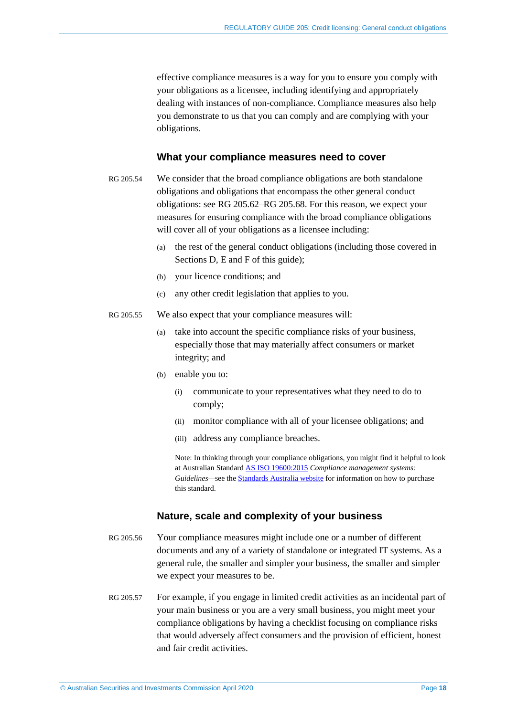effective compliance measures is a way for you to ensure you comply with your obligations as a licensee, including identifying and appropriately dealing with instances of non-compliance. Compliance measures also help you demonstrate to us that you can comply and are complying with your obligations.

#### **What your compliance measures need to cover**

- RG 205.54 We consider that the broad compliance obligations are both standalone obligations and obligations that encompass the other general conduct obligations: see [RG 205.62](#page-18-2)[–RG 205.68.](#page-19-0) For this reason, we expect your measures for ensuring compliance with the broad compliance obligations will cover all of your obligations as a licensee including:
	- (a) the rest of the general conduct obligations (including those covered in Sections [D,](#page-21-0) [E](#page-24-1) and [F](#page-27-0) of this guide);
	- (b) your licence conditions; and
	- (c) any other credit legislation that applies to you.
- RG 205.55 We also expect that your compliance measures will:
	- (a) take into account the specific compliance risks of your business, especially those that may materially affect consumers or market integrity; and
	- (b) enable you to:
		- (i) communicate to your representatives what they need to do to comply;
		- (ii) monitor compliance with all of your licensee obligations; and
		- (iii) address any compliance breaches.

Note: In thinking through your compliance obligations, you might find it helpful to look at Australian Standar[d AS ISO 19600:2015](https://www.techstreet.com/sa/standards/as-iso-19600-2015?product_id=2068096) *Compliance management systems: Guidelines—*see th[e Standards Australia website](https://www.standards.org.au/) for information on how to purchase this standard.

#### **Nature, scale and complexity of your business**

- RG 205.56 Your compliance measures might include one or a number of different documents and any of a variety of standalone or integrated IT systems. As a general rule, the smaller and simpler your business, the smaller and simpler we expect your measures to be.
- RG 205.57 For example, if you engage in limited credit activities as an incidental part of your main business or you are a very small business, you might meet your compliance obligations by having a checklist focusing on compliance risks that would adversely affect consumers and the provision of efficient, honest and fair credit activities.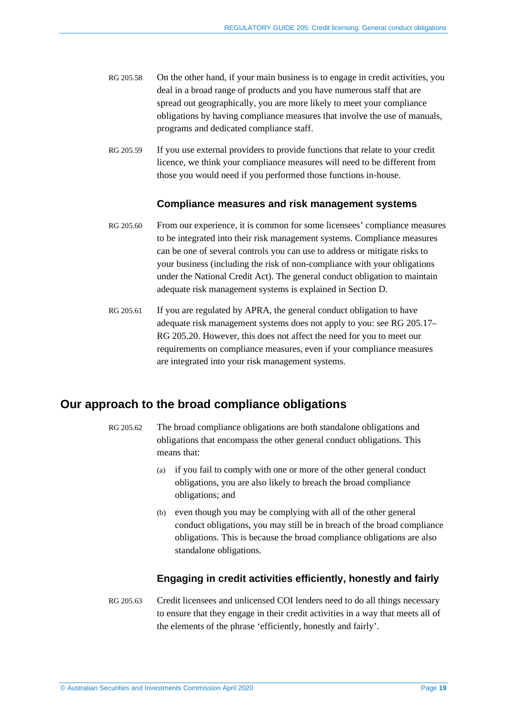- RG 205.58 On the other hand, if your main business is to engage in credit activities, you deal in a broad range of products and you have numerous staff that are spread out geographically, you are more likely to meet your compliance obligations by having compliance measures that involve the use of manuals, programs and dedicated compliance staff.
- RG 205.59 If you use external providers to provide functions that relate to your credit licence, we think your compliance measures will need to be different from those you would need if you performed those functions in-house.

#### **Compliance measures and risk management systems**

- RG 205.60 From our experience, it is common for some licensees' compliance measures to be integrated into their risk management systems. Compliance measures can be one of several controls you can use to address or mitigate risks to your business (including the risk of non-compliance with your obligations under the National Credit Act). The general conduct obligation to maintain adequate risk management systems is explained in Section [D.](#page-21-0)
- <span id="page-18-1"></span>RG 205.61 If you are regulated by APRA, the general conduct obligation to have adequate risk management systems does not apply to you: see [RG 205.17–](#page-9-1) [RG 205.20.](#page-9-2) However, this does not affect the need for you to meet our requirements on compliance measures, even if your compliance measures are integrated into your risk management systems.

## <span id="page-18-2"></span><span id="page-18-0"></span>**Our approach to the broad compliance obligations**

- RG 205.62 The broad compliance obligations are both standalone obligations and obligations that encompass the other general conduct obligations. This means that:
	- (a) if you fail to comply with one or more of the other general conduct obligations, you are also likely to breach the broad compliance obligations; and
	- (b) even though you may be complying with all of the other general conduct obligations, you may still be in breach of the broad compliance obligations. This is because the broad compliance obligations are also standalone obligations.

#### **Engaging in credit activities efficiently, honestly and fairly**

RG 205.63 Credit licensees and unlicensed COI lenders need to do all things necessary to ensure that they engage in their credit activities in a way that meets all of the elements of the phrase 'efficiently, honestly and fairly'.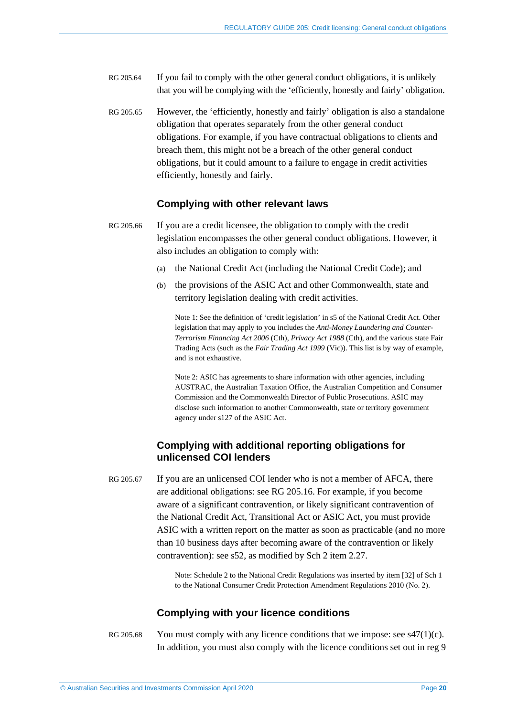- RG 205.64 If you fail to comply with the other general conduct obligations, it is unlikely that you will be complying with the 'efficiently, honestly and fairly' obligation.
- RG 205.65 However, the 'efficiently, honestly and fairly' obligation is also a standalone obligation that operates separately from the other general conduct obligations. For example, if you have contractual obligations to clients and breach them, this might not be a breach of the other general conduct obligations, but it could amount to a failure to engage in credit activities efficiently, honestly and fairly.

#### **Complying with other relevant laws**

- RG 205.66 If you are a credit licensee, the obligation to comply with the credit legislation encompasses the other general conduct obligations. However, it also includes an obligation to comply with:
	- (a) the National Credit Act (including the National Credit Code); and
	- (b) the provisions of the ASIC Act and other Commonwealth, state and territory legislation dealing with credit activities.

Note 1: See the definition of 'credit legislation' in s5 of the National Credit Act. Other legislation that may apply to you includes the *Anti-Money Laundering and Counter-Terrorism Financing Act 2006* (Cth), *Privacy Act 1988* (Cth), and the various state Fair Trading Acts (such as the *Fair Trading Act 1999* (Vic)). This list is by way of example, and is not exhaustive.

Note 2: ASIC has agreements to share information with other agencies, including AUSTRAC, the Australian Taxation Office, the Australian Competition and Consumer Commission and the Commonwealth Director of Public Prosecutions. ASIC may disclose such information to another Commonwealth, state or territory government agency under s127 of the ASIC Act.

#### **Complying with additional reporting obligations for unlicensed COI lenders**

RG 205.67 If you are an unlicensed COI lender who is not a member of AFCA, there are additional obligations: see [RG 205.16.](#page-8-1) For example, if you become aware of a significant contravention, or likely significant contravention of the National Credit Act, Transitional Act or ASIC Act, you must provide ASIC with a written report on the matter as soon as practicable (and no more than 10 business days after becoming aware of the contravention or likely contravention): see s52, as modified by Sch 2 item 2.27.

> Note: Schedule 2 to the National Credit Regulations was inserted by item [32] of Sch 1 to the National Consumer Credit Protection Amendment Regulations 2010 (No. 2).

#### **Complying with your licence conditions**

<span id="page-19-0"></span>RG 205.68 You must comply with any licence conditions that we impose: see  $\frac{47(1)}{c}$ . In addition, you must also comply with the licence conditions set out in reg 9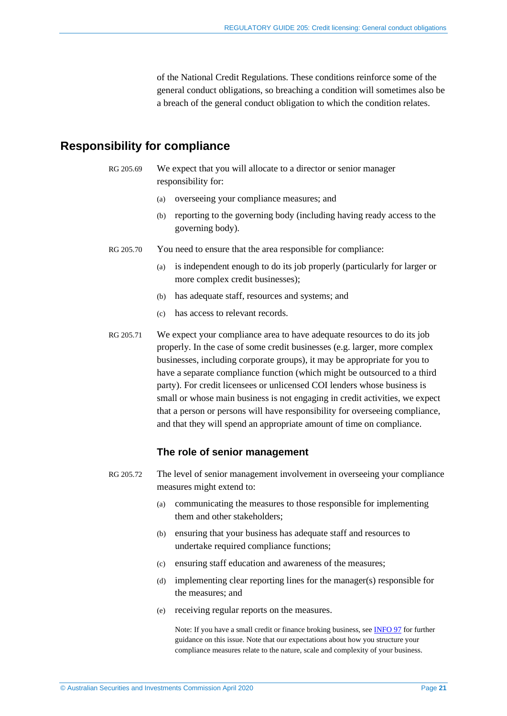of the National Credit Regulations. These conditions reinforce some of the general conduct obligations, so breaching a condition will sometimes also be a breach of the general conduct obligation to which the condition relates.

### <span id="page-20-1"></span><span id="page-20-0"></span>**Responsibility for compliance**

RG 205.69 We expect that you will allocate to a director or senior manager responsibility for:

- (a) overseeing your compliance measures; and
- (b) reporting to the governing body (including having ready access to the governing body).
- RG 205.70 You need to ensure that the area responsible for compliance:
	- (a) is independent enough to do its job properly (particularly for larger or more complex credit businesses);
	- (b) has adequate staff, resources and systems; and
	- (c) has access to relevant records.
- RG 205.71 We expect your compliance area to have adequate resources to do its job properly. In the case of some credit businesses (e.g. larger, more complex businesses, including corporate groups), it may be appropriate for you to have a separate compliance function (which might be outsourced to a third party). For credit licensees or unlicensed COI lenders whose business is small or whose main business is not engaging in credit activities, we expect that a person or persons will have responsibility for overseeing compliance, and that they will spend an appropriate amount of time on compliance.

#### **The role of senior management**

- <span id="page-20-2"></span>RG 205.72 The level of senior management involvement in overseeing your compliance measures might extend to:
	- (a) communicating the measures to those responsible for implementing them and other stakeholders;
	- (b) ensuring that your business has adequate staff and resources to undertake required compliance functions;
	- (c) ensuring staff education and awareness of the measures;
	- (d) implementing clear reporting lines for the manager(s) responsible for the measures; and
	- (e) receiving regular reports on the measures.

Note: If you have a small credit or finance broking business, se[e INFO 97](https://asic.gov.au/for-finance-professionals/credit-licensees/applying-for-and-managing-your-credit-licence/guidance-for-small-credit-businesses/) for further guidance on this issue. Note that our expectations about how you structure your compliance measures relate to the nature, scale and complexity of your business.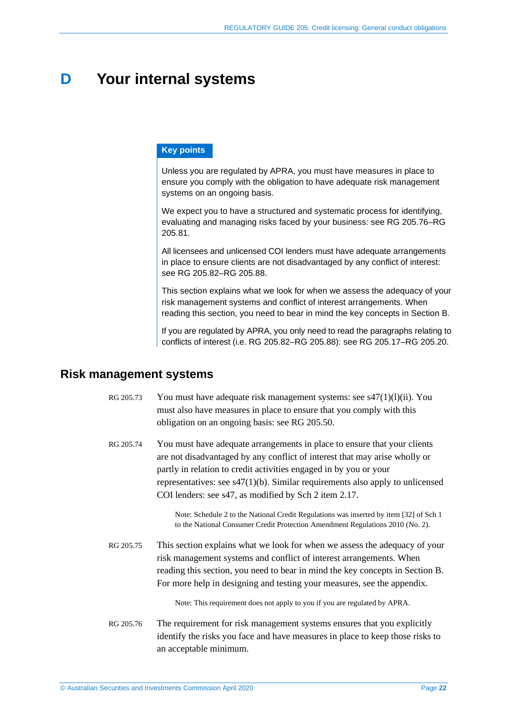## <span id="page-21-0"></span>**D Your internal systems**

#### **Key points**

Unless you are regulated by APRA, you must have measures in place to ensure you comply with the obligation to have adequate risk management systems on an ongoing basis.

We expect you to have a structured and systematic process for identifying, evaluating and managing risks faced by your business: see [RG 205.76](#page-21-2)[–RG](#page-22-2)  [205.81.](#page-22-2)

All licensees and unlicensed COI lenders must have adequate arrangements in place to ensure clients are not disadvantaged by any conflict of interest: see [RG 205.82–](#page-22-1)[RG 205.88.](#page-23-0)

This section explains what we look for when we assess the adequacy of your risk management systems and conflict of interest arrangements. When reading this section, you need to bear in mind the key concepts in Section [B.](#page-11-0)

If you are regulated by APRA, you only need to read the paragraphs relating to conflicts of interest (i.e. [RG 205.82–](#page-22-1)[RG 205.88\)](#page-23-0): see [RG 205.17–](#page-9-1)[RG 205.20.](#page-9-2)

### <span id="page-21-1"></span>**Risk management systems**

- RG 205.73 You must have adequate risk management systems: see  $\frac{847(1)}{(l)(ii)}$ . You must also have measures in place to ensure that you comply with this obligation on an ongoing basis: see [RG 205.50.](#page-16-3)
- RG 205.74 You must have adequate arrangements in place to ensure that your clients are not disadvantaged by any conflict of interest that may arise wholly or partly in relation to credit activities engaged in by you or your representatives: see s47(1)(b). Similar requirements also apply to unlicensed COI lenders: see s47, as modified by Sch 2 item 2.17.

Note: Schedule 2 to the National Credit Regulations was inserted by item [32] of Sch 1 to the National Consumer Credit Protection Amendment Regulations 2010 (No. 2).

RG 205.75 This section explains what we look for when we assess the adequacy of your risk management systems and conflict of interest arrangements. When reading this section, you need to bear in mind the key concepts in Section [B.](#page-11-0) For more help in designing and testing your measures, see the appendix.

Note: This requirement does not apply to you if you are regulated by APRA.

<span id="page-21-2"></span>RG 205.76 The requirement for risk management systems ensures that you explicitly identify the risks you face and have measures in place to keep those risks to an acceptable minimum.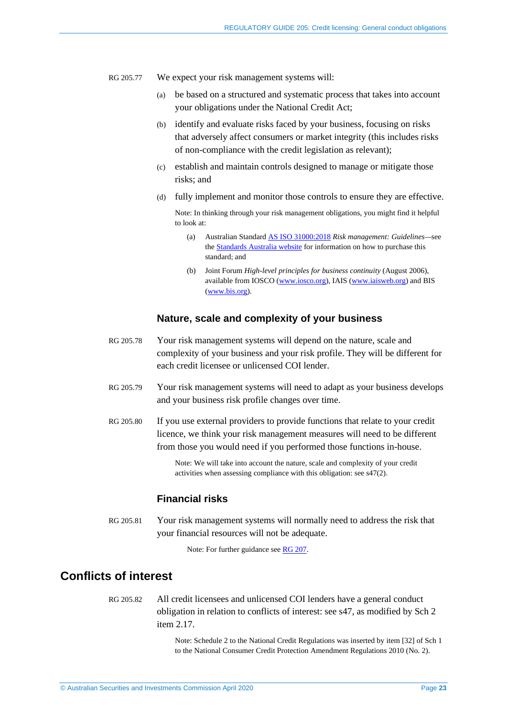- RG 205.77 We expect your risk management systems will:
	- (a) be based on a structured and systematic process that takes into account your obligations under the National Credit Act;
	- (b) identify and evaluate risks faced by your business, focusing on risks that adversely affect consumers or market integrity (this includes risks of non-compliance with the credit legislation as relevant);
	- (c) establish and maintain controls designed to manage or mitigate those risks; and
	- (d) fully implement and monitor those controls to ensure they are effective.

Note: In thinking through your risk management obligations, you might find it helpful to look at:

- (a) Australian Standard AS ISO [31000:2018](https://www.techstreet.com/sa/standards/as-iso-31000-2018?product_id=2047006) *Risk management: Guidelines—*see th[e Standards Australia website](https://www.standards.org.au/) for information on how to purchase this standard; and
- (b) Joint Forum *High-level principles for business continuity* (August 2006), available from IOSCO [\(www.iosco.org\)](http://www.iosco.org/), IAIS [\(www.iaisweb.org\)](http://www.iaisweb.org/) and BIS [\(www.bis.org\)](http://www.bis.org/).

#### **Nature, scale and complexity of your business**

- RG 205.78 Your risk management systems will depend on the nature, scale and complexity of your business and your risk profile. They will be different for each credit licensee or unlicensed COI lender.
- RG 205.79 Your risk management systems will need to adapt as your business develops and your business risk profile changes over time.
- RG 205.80 If you use external providers to provide functions that relate to your credit licence, we think your risk management measures will need to be different from those you would need if you performed those functions in-house.

Note: We will take into account the nature, scale and complexity of your credit activities when assessing compliance with this obligation: see s47(2).

#### **Financial risks**

<span id="page-22-2"></span>RG 205.81 Your risk management systems will normally need to address the risk that your financial resources will not be adequate.

Note: For further guidance see [RG 207.](https://asic.gov.au/regulatory-resources/credit/credit-general-conduct-obligations/rg-207-credit-licensing-financial-requirements/)

## <span id="page-22-1"></span><span id="page-22-0"></span>**Conflicts of interest**

RG 205.82 All credit licensees and unlicensed COI lenders have a general conduct obligation in relation to conflicts of interest: see s47, as modified by Sch 2 item 2.17.

> Note: Schedule 2 to the National Credit Regulations was inserted by item [32] of Sch 1 to the National Consumer Credit Protection Amendment Regulations 2010 (No. 2).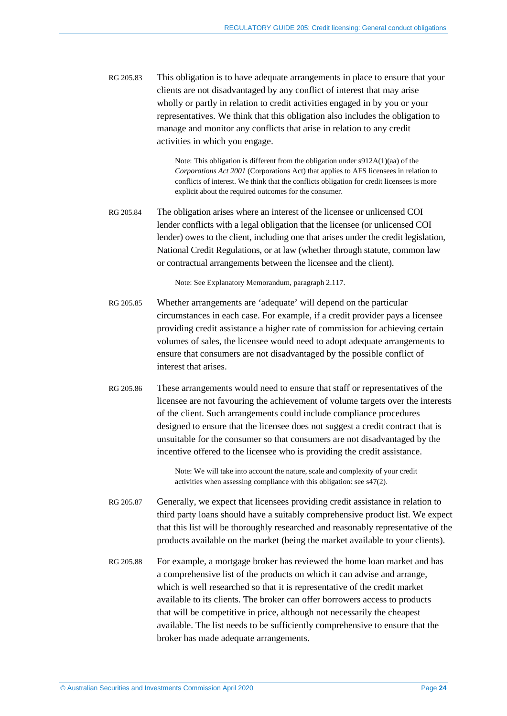RG 205.83 This obligation is to have adequate arrangements in place to ensure that your clients are not disadvantaged by any conflict of interest that may arise wholly or partly in relation to credit activities engaged in by you or your representatives. We think that this obligation also includes the obligation to manage and monitor any conflicts that arise in relation to any credit activities in which you engage.

> Note: This obligation is different from the obligation under s912A(1)(aa) of the *Corporations Act 2001* (Corporations Act) that applies to AFS licensees in relation to conflicts of interest. We think that the conflicts obligation for credit licensees is more explicit about the required outcomes for the consumer.

RG 205.84 The obligation arises where an interest of the licensee or unlicensed COI lender conflicts with a legal obligation that the licensee (or unlicensed COI lender) owes to the client, including one that arises under the credit legislation, National Credit Regulations, or at law (whether through statute, common law or contractual arrangements between the licensee and the client).

Note: See Explanatory Memorandum, paragraph 2.117.

- RG 205.85 Whether arrangements are 'adequate' will depend on the particular circumstances in each case. For example, if a credit provider pays a licensee providing credit assistance a higher rate of commission for achieving certain volumes of sales, the licensee would need to adopt adequate arrangements to ensure that consumers are not disadvantaged by the possible conflict of interest that arises.
- RG 205.86 These arrangements would need to ensure that staff or representatives of the licensee are not favouring the achievement of volume targets over the interests of the client. Such arrangements could include compliance procedures designed to ensure that the licensee does not suggest a credit contract that is unsuitable for the consumer so that consumers are not disadvantaged by the incentive offered to the licensee who is providing the credit assistance.

Note: We will take into account the nature, scale and complexity of your credit activities when assessing compliance with this obligation: see s47(2).

- RG 205.87 Generally, we expect that licensees providing credit assistance in relation to third party loans should have a suitably comprehensive product list. We expect that this list will be thoroughly researched and reasonably representative of the products available on the market (being the market available to your clients).
- <span id="page-23-0"></span>RG 205.88 For example, a mortgage broker has reviewed the home loan market and has a comprehensive list of the products on which it can advise and arrange, which is well researched so that it is representative of the credit market available to its clients. The broker can offer borrowers access to products that will be competitive in price, although not necessarily the cheapest available. The list needs to be sufficiently comprehensive to ensure that the broker has made adequate arrangements.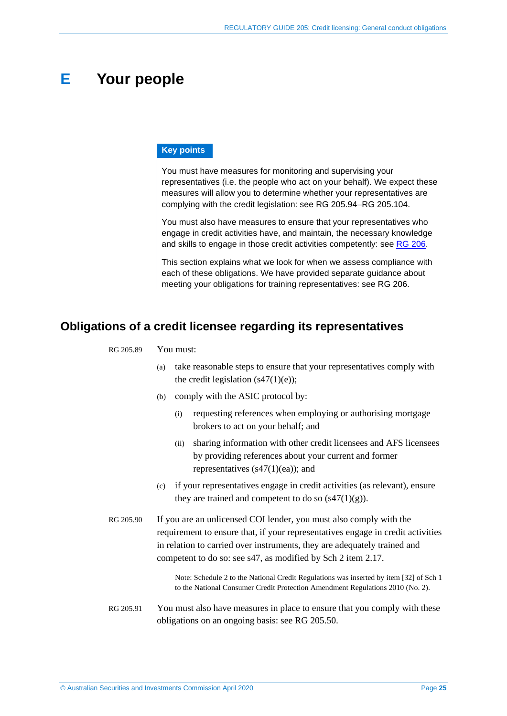## <span id="page-24-1"></span>**E Your people**

#### **Key points**

You must have measures for monitoring and supervising your representatives (i.e. the people who act on your behalf). We expect these measures will allow you to determine whether your representatives are complying with the credit legislation: see [RG 205.94–](#page-25-1)[RG 205.104.](#page-26-2)

You must also have measures to ensure that your representatives who engage in credit activities have, and maintain, the necessary knowledge and skills to engage in those credit activities competently: see [RG 206.](https://asic.gov.au/regulatory-resources/credit/credit-general-conduct-obligations/rg-206-credit-licensing-competence-and-training/)

This section explains what we look for when we assess compliance with each of these obligations. We have provided separate guidance about meeting your obligations for training representatives: see RG 206.

## <span id="page-24-2"></span><span id="page-24-0"></span>**Obligations of a credit licensee regarding its representatives**

#### RG 205.89 You must:

- (a) take reasonable steps to ensure that your representatives comply with the credit legislation  $(s47(1)(e))$ ;
- (b) comply with the ASIC protocol by:
	- (i) requesting references when employing or authorising mortgage brokers to act on your behalf; and
	- (ii) sharing information with other credit licensees and AFS licensees by providing references about your current and former representatives  $(s47(1)(ea))$ ; and
- (c) if your representatives engage in credit activities (as relevant), ensure they are trained and competent to do so  $(s47(1)(g))$ .
- RG 205.90 If you are an unlicensed COI lender, you must also comply with the requirement to ensure that, if your representatives engage in credit activities in relation to carried over instruments, they are adequately trained and competent to do so: see s47, as modified by Sch 2 item 2.17.

Note: Schedule 2 to the National Credit Regulations was inserted by item [32] of Sch 1 to the National Consumer Credit Protection Amendment Regulations 2010 (No. 2).

RG 205.91 You must also have measures in place to ensure that you comply with these obligations on an ongoing basis: see [RG 205.50.](#page-16-3)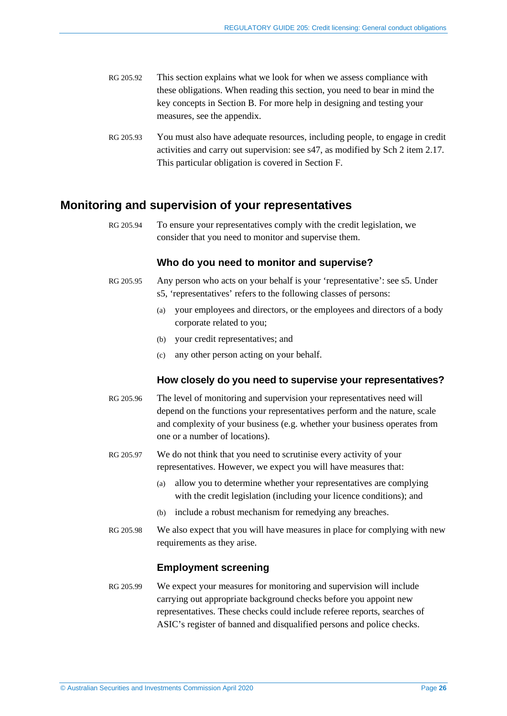- RG 205.92 This section explains what we look for when we assess compliance with these obligations. When reading this section, you need to bear in mind the key concepts in Section [B.](#page-11-0) For more help in designing and testing your measures, see the appendix.
- RG 205.93 You must also have adequate resources, including people, to engage in credit activities and carry out supervision: see s47, as modified by Sch 2 item 2.17. This particular obligation is covered in Section [F.](#page-27-0)

### <span id="page-25-1"></span><span id="page-25-0"></span>**Monitoring and supervision of your representatives**

RG 205.94 To ensure your representatives comply with the credit legislation, we consider that you need to monitor and supervise them.

#### **Who do you need to monitor and supervise?**

- RG 205.95 Any person who acts on your behalf is your 'representative': see s5. Under s5, 'representatives' refers to the following classes of persons:
	- (a) your employees and directors, or the employees and directors of a body corporate related to you;
	- (b) your credit representatives; and
	- (c) any other person acting on your behalf.

#### **How closely do you need to supervise your representatives?**

- RG 205.96 The level of monitoring and supervision your representatives need will depend on the functions your representatives perform and the nature, scale and complexity of your business (e.g. whether your business operates from one or a number of locations).
- RG 205.97 We do not think that you need to scrutinise every activity of your representatives. However, we expect you will have measures that:
	- (a) allow you to determine whether your representatives are complying with the credit legislation (including your licence conditions); and
	- (b) include a robust mechanism for remedying any breaches.
- RG 205.98 We also expect that you will have measures in place for complying with new requirements as they arise.

#### **Employment screening**

RG 205.99 We expect your measures for monitoring and supervision will include carrying out appropriate background checks before you appoint new representatives. These checks could include referee reports, searches of ASIC's register of banned and disqualified persons and police checks.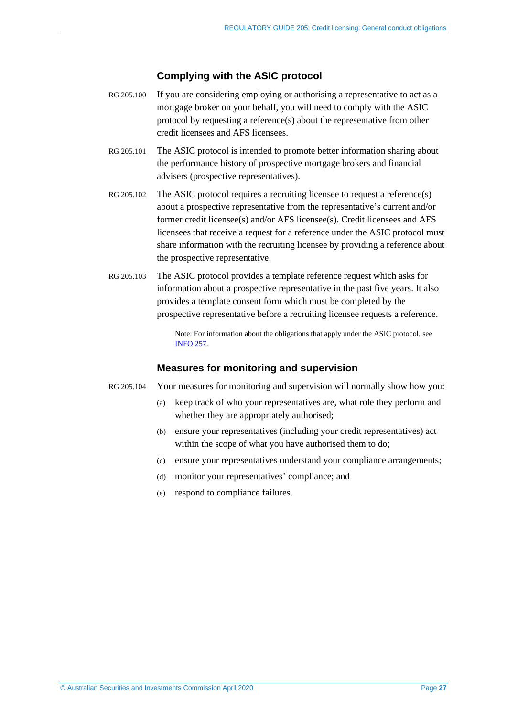#### **Complying with the ASIC protocol**

- <span id="page-26-0"></span>RG 205.100 If you are considering employing or authorising a representative to act as a mortgage broker on your behalf, you will need to comply with the ASIC protocol by requesting a reference(s) about the representative from other credit licensees and AFS licensees.
- RG 205.101 The ASIC protocol is intended to promote better information sharing about the performance history of prospective mortgage brokers and financial advisers (prospective representatives).
- RG 205.102 The ASIC protocol requires a recruiting licensee to request a reference(s) about a prospective representative from the representative's current and/or former credit licensee(s) and/or AFS licensee(s). Credit licensees and AFS licensees that receive a request for a reference under the ASIC protocol must share information with the recruiting licensee by providing a reference about the prospective representative.
- <span id="page-26-1"></span>RG 205.103 The ASIC protocol provides a template reference request which asks for information about a prospective representative in the past five years. It also provides a template consent form which must be completed by the prospective representative before a recruiting licensee requests a reference.

Note: For information about the obligations that apply under the ASIC protocol, see [INFO 257.](https://asic.gov.au/regulatory-resources/financial-services/reference-checking-directory-for-financial-services-industry/asic-reference-checking-and-information-sharing-protocol/)

#### **Measures for monitoring and supervision**

- <span id="page-26-2"></span>RG 205.104 Your measures for monitoring and supervision will normally show how you:
	- (a) keep track of who your representatives are, what role they perform and whether they are appropriately authorised;
	- (b) ensure your representatives (including your credit representatives) act within the scope of what you have authorised them to do:
	- (c) ensure your representatives understand your compliance arrangements;
	- (d) monitor your representatives' compliance; and
	- (e) respond to compliance failures.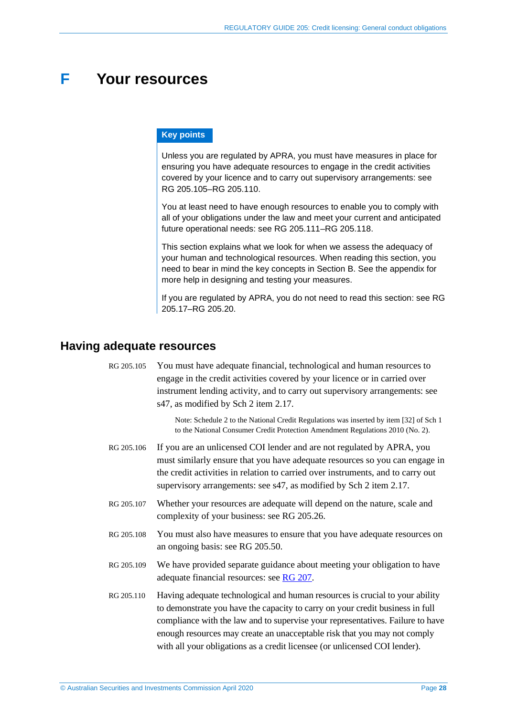## <span id="page-27-0"></span>**F Your resources**

#### **Key points**

Unless you are regulated by APRA, you must have measures in place for ensuring you have adequate resources to engage in the credit activities covered by your licence and to carry out supervisory arrangements: see [RG 205.105](#page-27-2)[–RG 205.110.](#page-27-3)

You at least need to have enough resources to enable you to comply with all of your obligations under the law and meet your current and anticipated future operational needs: see [RG 205.111–](#page-28-2)[RG 205.118.](#page-29-0)

This section explains what we look for when we assess the adequacy of your human and technological resources. When reading this section, you need to bear in mind the key concepts in Section [B.](#page-11-0) See the appendix for more help in designing and testing your measures.

If you are regulated by APRA, you do not need to read this section: see [RG](#page-9-1)  [205.17–](#page-9-1)[RG 205.20.](#page-9-2)

## <span id="page-27-2"></span><span id="page-27-1"></span>**Having adequate resources**

RG 205.105 You must have adequate financial, technological and human resources to engage in the credit activities covered by your licence or in carried over instrument lending activity, and to carry out supervisory arrangements: see s47, as modified by Sch 2 item 2.17.

> Note: Schedule 2 to the National Credit Regulations was inserted by item [32] of Sch 1 to the National Consumer Credit Protection Amendment Regulations 2010 (No. 2).

- RG 205.106 If you are an unlicensed COI lender and are not regulated by APRA, you must similarly ensure that you have adequate resources so you can engage in the credit activities in relation to carried over instruments, and to carry out supervisory arrangements: see s47, as modified by Sch 2 item 2.17.
- RG 205.107 Whether your resources are adequate will depend on the nature, scale and complexity of your business: see [RG 205.26.](#page-11-3)
- RG 205.108 You must also have measures to ensure that you have adequate resources on an ongoing basis: see [RG 205.50.](#page-16-3)
- RG 205.109 We have provided separate guidance about meeting your obligation to have adequate financial resources: see [RG 207.](https://asic.gov.au/regulatory-resources/credit/credit-general-conduct-obligations/rg-207-credit-licensing-financial-requirements/)
- <span id="page-27-3"></span>RG 205.110 Having adequate technological and human resources is crucial to your ability to demonstrate you have the capacity to carry on your credit business in full compliance with the law and to supervise your representatives. Failure to have enough resources may create an unacceptable risk that you may not comply with all your obligations as a credit licensee (or unlicensed COI lender).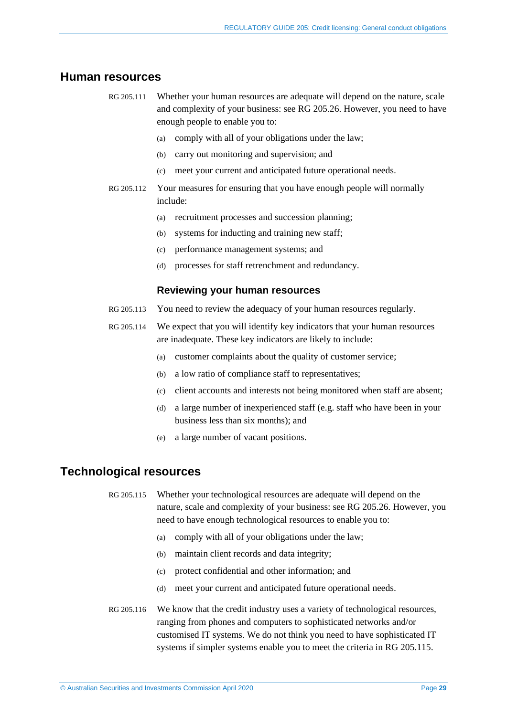### <span id="page-28-2"></span><span id="page-28-0"></span>**Human resources**

- RG 205.111 Whether your human resources are adequate will depend on the nature, scale and complexity of your business: see [RG 205.26.](#page-11-3) However, you need to have enough people to enable you to:
	- (a) comply with all of your obligations under the law;
	- (b) carry out monitoring and supervision; and
	- (c) meet your current and anticipated future operational needs.
- RG 205.112 Your measures for ensuring that you have enough people will normally include:
	- (a) recruitment processes and succession planning;
	- (b) systems for inducting and training new staff;
	- (c) performance management systems; and
	- (d) processes for staff retrenchment and redundancy.

#### **Reviewing your human resources**

- RG 205.113 You need to review the adequacy of your human resources regularly.
- RG 205.114 We expect that you will identify key indicators that your human resources are inadequate. These key indicators are likely to include:
	- (a) customer complaints about the quality of customer service;
	- (b) a low ratio of compliance staff to representatives;
	- (c) client accounts and interests not being monitored when staff are absent;
	- (d) a large number of inexperienced staff (e.g. staff who have been in your business less than six months); and
	- (e) a large number of vacant positions.

### <span id="page-28-3"></span><span id="page-28-1"></span>**Technological resources**

RG 205.115 Whether your technological resources are adequate will depend on the nature, scale and complexity of your business: se[e RG 205.26.](#page-11-3) However, you need to have enough technological resources to enable you to:

- (a) comply with all of your obligations under the law;
- (b) maintain client records and data integrity;
- (c) protect confidential and other information; and
- (d) meet your current and anticipated future operational needs.
- RG 205.116 We know that the credit industry uses a variety of technological resources, ranging from phones and computers to sophisticated networks and/or customised IT systems. We do not think you need to have sophisticated IT systems if simpler systems enable you to meet the criteria in [RG 205.115.](#page-28-3)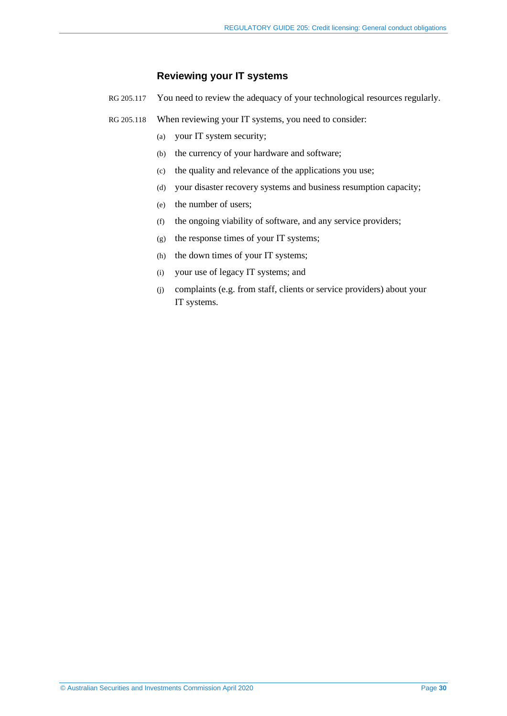#### **Reviewing your IT systems**

- RG 205.117 You need to review the adequacy of your technological resources regularly.
- <span id="page-29-0"></span>RG 205.118 When reviewing your IT systems, you need to consider:
	- (a) your IT system security;
	- (b) the currency of your hardware and software;
	- (c) the quality and relevance of the applications you use;
	- (d) your disaster recovery systems and business resumption capacity;
	- (e) the number of users;
	- (f) the ongoing viability of software, and any service providers;
	- (g) the response times of your IT systems;
	- (h) the down times of your IT systems;
	- (i) your use of legacy IT systems; and
	- (j) complaints (e.g. from staff, clients or service providers) about your IT systems.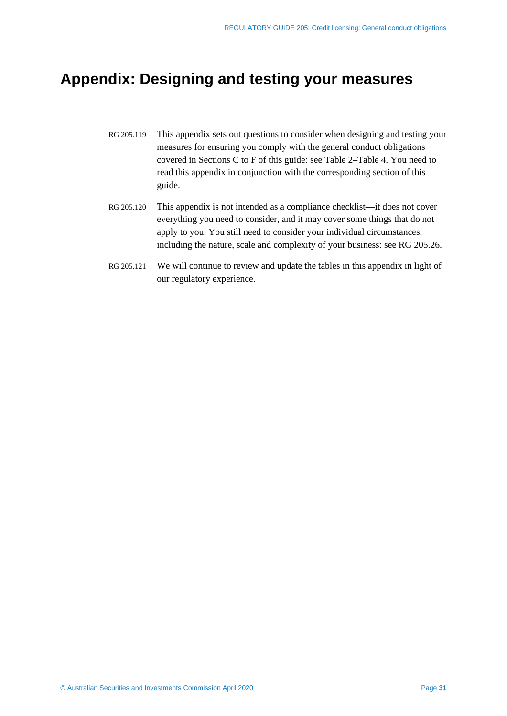## <span id="page-30-0"></span>**Appendix: Designing and testing your measures**

- RG 205.119 This appendix sets out questions to consider when designing and testing your measures for ensuring you comply with the general conduct obligations covered in Sections [C](#page-16-0) to [F](#page-27-0) of this guide: see [Table 2–](#page-31-0)[Table 4.](#page-33-0) You need to read this appendix in conjunction with the corresponding section of this guide.
- RG 205.120 This appendix is not intended as a compliance checklist—it does not cover everything you need to consider, and it may cover some things that do not apply to you. You still need to consider your individual circumstances, including the nature, scale and complexity of your business: see [RG 205.26.](#page-11-3)
- RG 205.121 We will continue to review and update the tables in this appendix in light of our regulatory experience.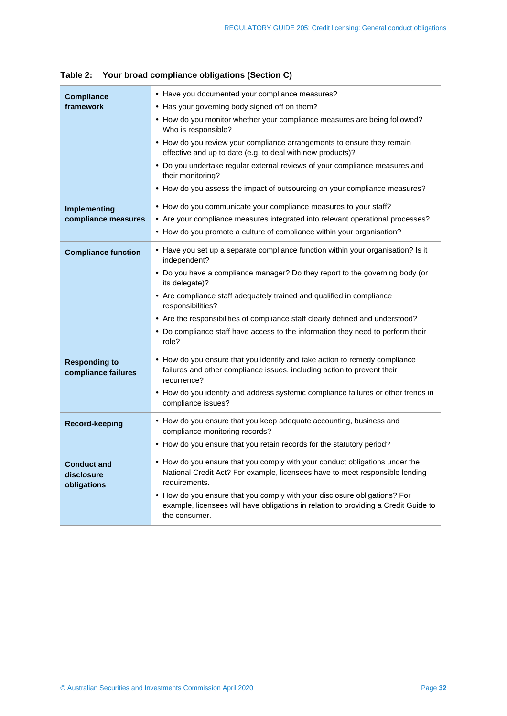| <b>Compliance</b>                               | • Have you documented your compliance measures?                                                                                                                                   |
|-------------------------------------------------|-----------------------------------------------------------------------------------------------------------------------------------------------------------------------------------|
| framework                                       | • Has your governing body signed off on them?                                                                                                                                     |
|                                                 | • How do you monitor whether your compliance measures are being followed?<br>Who is responsible?                                                                                  |
|                                                 | • How do you review your compliance arrangements to ensure they remain<br>effective and up to date (e.g. to deal with new products)?                                              |
|                                                 | • Do you undertake regular external reviews of your compliance measures and<br>their monitoring?                                                                                  |
|                                                 | • How do you assess the impact of outsourcing on your compliance measures?                                                                                                        |
| Implementing                                    | • How do you communicate your compliance measures to your staff?                                                                                                                  |
| compliance measures                             | • Are your compliance measures integrated into relevant operational processes?                                                                                                    |
|                                                 | • How do you promote a culture of compliance within your organisation?                                                                                                            |
| <b>Compliance function</b>                      | • Have you set up a separate compliance function within your organisation? Is it<br>independent?                                                                                  |
|                                                 | • Do you have a compliance manager? Do they report to the governing body (or<br>its delegate)?                                                                                    |
|                                                 | • Are compliance staff adequately trained and qualified in compliance<br>responsibilities?                                                                                        |
|                                                 | • Are the responsibilities of compliance staff clearly defined and understood?                                                                                                    |
|                                                 | • Do compliance staff have access to the information they need to perform their<br>role?                                                                                          |
| <b>Responding to</b><br>compliance failures     | • How do you ensure that you identify and take action to remedy compliance<br>failures and other compliance issues, including action to prevent their<br>recurrence?              |
|                                                 | • How do you identify and address systemic compliance failures or other trends in<br>compliance issues?                                                                           |
| <b>Record-keeping</b>                           | • How do you ensure that you keep adequate accounting, business and<br>compliance monitoring records?                                                                             |
|                                                 | • How do you ensure that you retain records for the statutory period?                                                                                                             |
| <b>Conduct and</b><br>disclosure<br>obligations | • How do you ensure that you comply with your conduct obligations under the<br>National Credit Act? For example, licensees have to meet responsible lending<br>requirements.      |
|                                                 | • How do you ensure that you comply with your disclosure obligations? For<br>example, licensees will have obligations in relation to providing a Credit Guide to<br>the consumer. |
|                                                 |                                                                                                                                                                                   |

<span id="page-31-0"></span>**Table 2: Your broad compliance obligations (Section [C\)](#page-16-0)**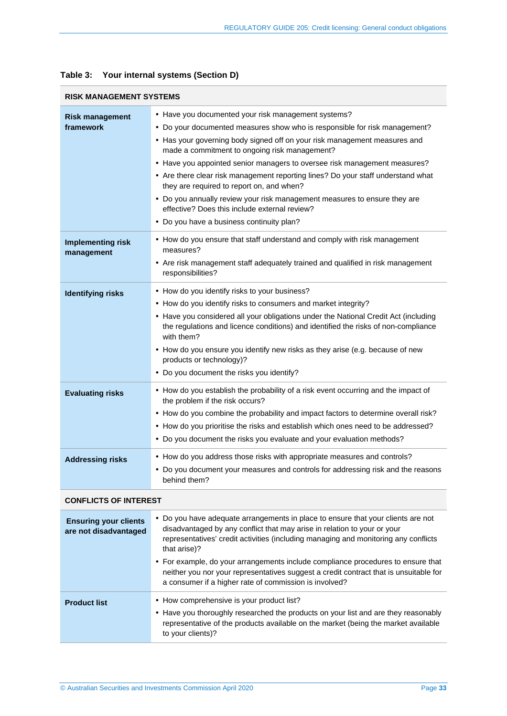|                                                       | <b>RISK MANAGEMENT SYSTEMS</b>                                                                                                                                                                                                                                                                                                                                                                                                                                                                                                                                                                                                                           |  |  |
|-------------------------------------------------------|----------------------------------------------------------------------------------------------------------------------------------------------------------------------------------------------------------------------------------------------------------------------------------------------------------------------------------------------------------------------------------------------------------------------------------------------------------------------------------------------------------------------------------------------------------------------------------------------------------------------------------------------------------|--|--|
| <b>Risk management</b><br>framework                   | • Have you documented your risk management systems?<br>• Do your documented measures show who is responsible for risk management?<br>• Has your governing body signed off on your risk management measures and<br>made a commitment to ongoing risk management?<br>• Have you appointed senior managers to oversee risk management measures?<br>• Are there clear risk management reporting lines? Do your staff understand what<br>they are required to report on, and when?<br>• Do you annually review your risk management measures to ensure they are<br>effective? Does this include external review?<br>• Do you have a business continuity plan? |  |  |
| <b>Implementing risk</b><br>management                | • How do you ensure that staff understand and comply with risk management<br>measures?<br>• Are risk management staff adequately trained and qualified in risk management<br>responsibilities?                                                                                                                                                                                                                                                                                                                                                                                                                                                           |  |  |
| <b>Identifying risks</b>                              | • How do you identify risks to your business?<br>• How do you identify risks to consumers and market integrity?<br>• Have you considered all your obligations under the National Credit Act (including<br>the regulations and licence conditions) and identified the risks of non-compliance<br>with them?<br>• How do you ensure you identify new risks as they arise (e.g. because of new<br>products or technology)?<br>• Do you document the risks you identify?                                                                                                                                                                                     |  |  |
| <b>Evaluating risks</b>                               | • How do you establish the probability of a risk event occurring and the impact of<br>the problem if the risk occurs?<br>• How do you combine the probability and impact factors to determine overall risk?<br>• How do you prioritise the risks and establish which ones need to be addressed?<br>• Do you document the risks you evaluate and your evaluation methods?                                                                                                                                                                                                                                                                                 |  |  |
| <b>Addressing risks</b>                               | • How do you address those risks with appropriate measures and controls?<br>• Do you document your measures and controls for addressing risk and the reasons<br>behind them?                                                                                                                                                                                                                                                                                                                                                                                                                                                                             |  |  |
| <b>CONFLICTS OF INTEREST</b>                          |                                                                                                                                                                                                                                                                                                                                                                                                                                                                                                                                                                                                                                                          |  |  |
| <b>Ensuring your clients</b><br>are not disadvantaged | • Do you have adequate arrangements in place to ensure that your clients are not<br>disadvantaged by any conflict that may arise in relation to your or your<br>representatives' credit activities (including managing and monitoring any conflicts<br>that arise)?<br>• For example, do your arrangements include compliance procedures to ensure that<br>neither you nor your representatives suggest a credit contract that is unsuitable for<br>a consumer if a higher rate of commission is involved?                                                                                                                                               |  |  |
| <b>Product list</b>                                   | • How comprehensive is your product list?<br>• Have you thoroughly researched the products on your list and are they reasonably<br>representative of the products available on the market (being the market available<br>to your clients)?                                                                                                                                                                                                                                                                                                                                                                                                               |  |  |

### **Table 3: Your internal systems (Section [D\)](#page-21-0)**

π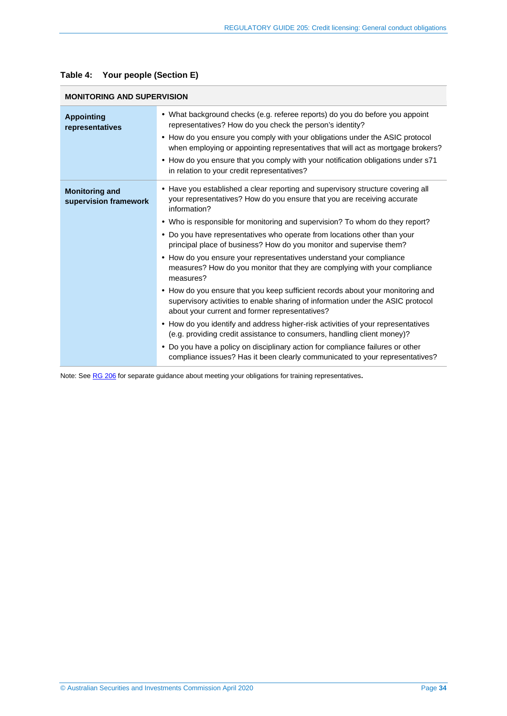| <b>MONITORING AND SUPERVISION</b>              |                                                                                                                                                                                                                          |  |
|------------------------------------------------|--------------------------------------------------------------------------------------------------------------------------------------------------------------------------------------------------------------------------|--|
| <b>Appointing</b><br>representatives           | • What background checks (e.g. referee reports) do you do before you appoint<br>representatives? How do you check the person's identity?<br>• How do you ensure you comply with your obligations under the ASIC protocol |  |
|                                                | when employing or appointing representatives that will act as mortgage brokers?                                                                                                                                          |  |
|                                                | • How do you ensure that you comply with your notification obligations under s71<br>in relation to your credit representatives?                                                                                          |  |
| <b>Monitoring and</b><br>supervision framework | • Have you established a clear reporting and supervisory structure covering all<br>your representatives? How do you ensure that you are receiving accurate<br>information?                                               |  |
|                                                | • Who is responsible for monitoring and supervision? To whom do they report?                                                                                                                                             |  |
|                                                | • Do you have representatives who operate from locations other than your<br>principal place of business? How do you monitor and supervise them?                                                                          |  |
|                                                | • How do you ensure your representatives understand your compliance<br>measures? How do you monitor that they are complying with your compliance<br>measures?                                                            |  |
|                                                | • How do you ensure that you keep sufficient records about your monitoring and<br>supervisory activities to enable sharing of information under the ASIC protocol<br>about your current and former representatives?      |  |
|                                                | • How do you identify and address higher-risk activities of your representatives<br>(e.g. providing credit assistance to consumers, handling client money)?                                                              |  |
|                                                | • Do you have a policy on disciplinary action for compliance failures or other<br>compliance issues? Has it been clearly communicated to your representatives?                                                           |  |

#### <span id="page-33-0"></span>**Table 4: Your people (Section [E\)](#page-24-1)**

Note: See [RG 206](https://asic.gov.au/regulatory-resources/credit/credit-general-conduct-obligations/rg-206-credit-licensing-competence-and-training/) for separate guidance about meeting your obligations for training representatives**.**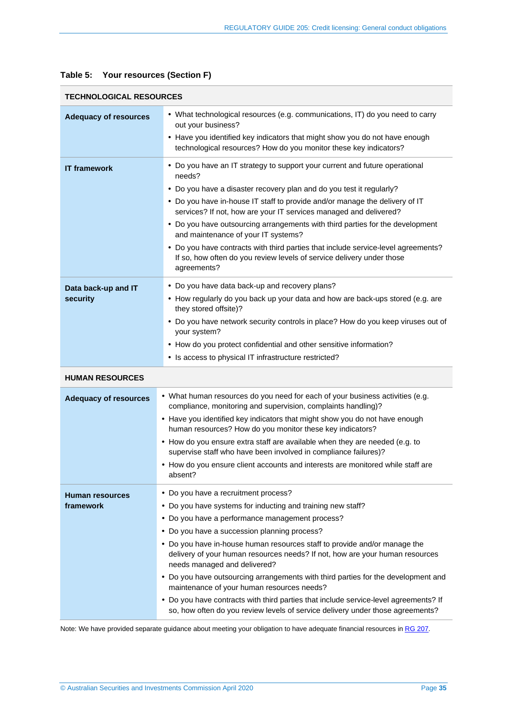| <b>TECHNOLOGICAL RESOURCES</b> |                                                                                                                                                                                           |  |
|--------------------------------|-------------------------------------------------------------------------------------------------------------------------------------------------------------------------------------------|--|
| <b>Adequacy of resources</b>   | • What technological resources (e.g. communications, IT) do you need to carry<br>out your business?                                                                                       |  |
|                                | • Have you identified key indicators that might show you do not have enough<br>technological resources? How do you monitor these key indicators?                                          |  |
| <b>IT framework</b>            | • Do you have an IT strategy to support your current and future operational<br>needs?                                                                                                     |  |
|                                | • Do you have a disaster recovery plan and do you test it regularly?                                                                                                                      |  |
|                                | • Do you have in-house IT staff to provide and/or manage the delivery of IT<br>services? If not, how are your IT services managed and delivered?                                          |  |
|                                | • Do you have outsourcing arrangements with third parties for the development<br>and maintenance of your IT systems?                                                                      |  |
|                                | • Do you have contracts with third parties that include service-level agreements?<br>If so, how often do you review levels of service delivery under those<br>agreements?                 |  |
| Data back-up and IT            | • Do you have data back-up and recovery plans?                                                                                                                                            |  |
| security                       | • How regularly do you back up your data and how are back-ups stored (e.g. are<br>they stored offsite)?                                                                                   |  |
|                                | • Do you have network security controls in place? How do you keep viruses out of<br>your system?                                                                                          |  |
|                                | • How do you protect confidential and other sensitive information?                                                                                                                        |  |
|                                | • Is access to physical IT infrastructure restricted?                                                                                                                                     |  |
| <b>HUMAN RESOURCES</b>         |                                                                                                                                                                                           |  |
| <b>Adequacy of resources</b>   | • What human resources do you need for each of your business activities (e.g.<br>compliance, monitoring and supervision, complaints handling)?                                            |  |
|                                | • Have you identified key indicators that might show you do not have enough<br>human resources? How do you monitor these key indicators?                                                  |  |
|                                | • How do you ensure extra staff are available when they are needed (e.g. to<br>supervise staff who have been involved in compliance failures)?                                            |  |
|                                | • How do you ensure client accounts and interests are monitored while staff are<br>absent?                                                                                                |  |
| <b>Human resources</b>         | • Do you have a recruitment process?                                                                                                                                                      |  |
| framework                      | • Do you have systems for inducting and training new staff?                                                                                                                               |  |
|                                | • Do you have a performance management process?                                                                                                                                           |  |
|                                | • Do you have a succession planning process?                                                                                                                                              |  |
|                                | • Do you have in-house human resources staff to provide and/or manage the<br>delivery of your human resources needs? If not, how are your human resources<br>needs managed and delivered? |  |
|                                | • Do you have outsourcing arrangements with third parties for the development and<br>maintenance of your human resources needs?                                                           |  |
|                                | • Do you have contracts with third parties that include service-level agreements? If<br>so, how often do you review levels of service delivery under those agreements?                    |  |

#### **Table 5: Your resources (Section [F\)](#page-27-0)**

Note: We have provided separate guidance about meeting your obligation to have adequate financial resources i[n RG 207.](https://asic.gov.au/regulatory-resources/credit/credit-general-conduct-obligations/rg-207-credit-licensing-financial-requirements/)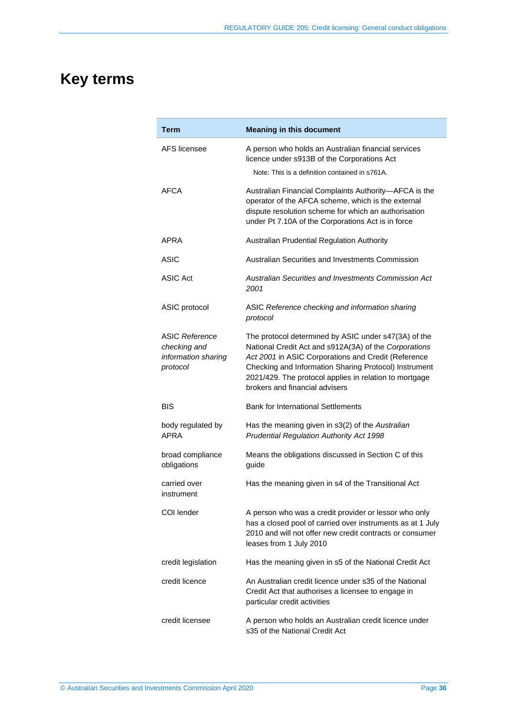# <span id="page-35-0"></span>**Key terms**

| Term                                                                     | <b>Meaning in this document</b>                                                                                                                                                                                                                                                                                           |
|--------------------------------------------------------------------------|---------------------------------------------------------------------------------------------------------------------------------------------------------------------------------------------------------------------------------------------------------------------------------------------------------------------------|
| AFS licensee                                                             | A person who holds an Australian financial services<br>licence under s913B of the Corporations Act                                                                                                                                                                                                                        |
|                                                                          | Note: This is a definition contained in s761A.                                                                                                                                                                                                                                                                            |
| AFCA                                                                     | Australian Financial Complaints Authority-AFCA is the<br>operator of the AFCA scheme, which is the external<br>dispute resolution scheme for which an authorisation<br>under Pt 7.10A of the Corporations Act is in force                                                                                                 |
| APRA                                                                     | Australian Prudential Regulation Authority                                                                                                                                                                                                                                                                                |
| ASIC                                                                     | Australian Securities and Investments Commission                                                                                                                                                                                                                                                                          |
| ASIC Act                                                                 | Australian Securities and Investments Commission Act<br>2001                                                                                                                                                                                                                                                              |
| ASIC protocol                                                            | ASIC Reference checking and information sharing<br>protocol                                                                                                                                                                                                                                                               |
| <b>ASIC Reference</b><br>checking and<br>information sharing<br>protocol | The protocol determined by ASIC under s47(3A) of the<br>National Credit Act and s912A(3A) of the Corporations<br>Act 2001 in ASIC Corporations and Credit (Reference<br>Checking and Information Sharing Protocol) Instrument<br>2021/429. The protocol applies in relation to mortgage<br>brokers and financial advisers |
| BIS                                                                      | <b>Bank for International Settlements</b>                                                                                                                                                                                                                                                                                 |
| body regulated by<br>APRA                                                | Has the meaning given in s3(2) of the Australian<br><b>Prudential Regulation Authority Act 1998</b>                                                                                                                                                                                                                       |
| broad compliance<br>obligations                                          | Means the obligations discussed in Section C of this<br>guide                                                                                                                                                                                                                                                             |
| carried over<br>instrument                                               | Has the meaning given in s4 of the Transitional Act                                                                                                                                                                                                                                                                       |
| COI lender                                                               | A person who was a credit provider or lessor who only<br>has a closed pool of carried over instruments as at 1 July<br>2010 and will not offer new credit contracts or consumer<br>leases from 1 July 2010                                                                                                                |
| credit legislation                                                       | Has the meaning given in s5 of the National Credit Act                                                                                                                                                                                                                                                                    |
| credit licence                                                           | An Australian credit licence under s35 of the National<br>Credit Act that authorises a licensee to engage in<br>particular credit activities                                                                                                                                                                              |
| credit licensee                                                          | A person who holds an Australian credit licence under<br>s35 of the National Credit Act                                                                                                                                                                                                                                   |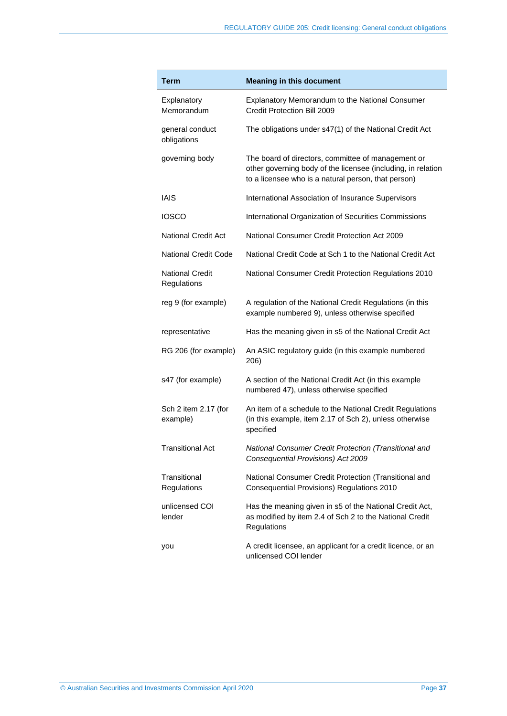| Term                                  | <b>Meaning in this document</b>                                                                                                                                           |
|---------------------------------------|---------------------------------------------------------------------------------------------------------------------------------------------------------------------------|
| Explanatory<br>Memorandum             | Explanatory Memorandum to the National Consumer<br>Credit Protection Bill 2009                                                                                            |
| general conduct<br>obligations        | The obligations under s47(1) of the National Credit Act                                                                                                                   |
| governing body                        | The board of directors, committee of management or<br>other governing body of the licensee (including, in relation<br>to a licensee who is a natural person, that person) |
| IAIS                                  | International Association of Insurance Supervisors                                                                                                                        |
| <b>IOSCO</b>                          | International Organization of Securities Commissions                                                                                                                      |
| <b>National Credit Act</b>            | National Consumer Credit Protection Act 2009                                                                                                                              |
| <b>National Credit Code</b>           | National Credit Code at Sch 1 to the National Credit Act                                                                                                                  |
| <b>National Credit</b><br>Regulations | National Consumer Credit Protection Regulations 2010                                                                                                                      |
| reg 9 (for example)                   | A regulation of the National Credit Regulations (in this<br>example numbered 9), unless otherwise specified                                                               |
| representative                        | Has the meaning given in s5 of the National Credit Act                                                                                                                    |
| RG 206 (for example)                  | An ASIC regulatory guide (in this example numbered<br>206)                                                                                                                |
| s47 (for example)                     | A section of the National Credit Act (in this example<br>numbered 47), unless otherwise specified                                                                         |
| Sch 2 item 2.17 (for<br>example)      | An item of a schedule to the National Credit Regulations<br>(in this example, item 2.17 of Sch 2), unless otherwise<br>specified                                          |
| <b>Transitional Act</b>               | National Consumer Credit Protection (Transitional and<br>Consequential Provisions) Act 2009                                                                               |
| Transitional<br>Regulations           | National Consumer Credit Protection (Transitional and<br>Consequential Provisions) Regulations 2010                                                                       |
| unlicensed COI<br>lender              | Has the meaning given in s5 of the National Credit Act,<br>as modified by item 2.4 of Sch 2 to the National Credit<br>Regulations                                         |
| you                                   | A credit licensee, an applicant for a credit licence, or an<br>unlicensed COI lender                                                                                      |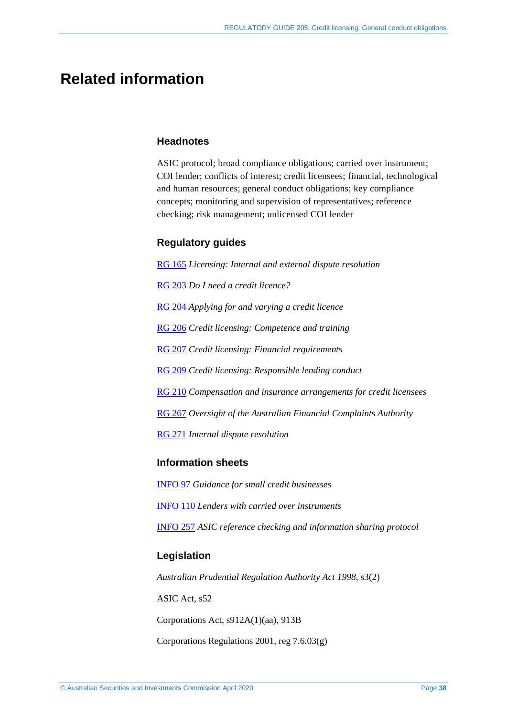## <span id="page-37-0"></span>**Related information**

#### **Headnotes**

ASIC protocol; broad compliance obligations; carried over instrument; COI lender; conflicts of interest; credit licensees; financial, technological and human resources; general conduct obligations; key compliance concepts; monitoring and supervision of representatives; reference checking; risk management; unlicensed COI lender

#### **Regulatory guides**

[RG 165](https://asic.gov.au/regulatory-resources/find-a-document/regulatory-guides/rg-165-licensing-internal-and-external-dispute-resolution/) *Licensing: Internal and external dispute resolution*  [RG 203](https://asic.gov.au/regulatory-resources/find-a-document/regulatory-guides/rg-203-do-i-need-a-credit-licence/) *Do I need a credit licence?* [RG 204](https://asic.gov.au/regulatory-resources/find-a-document/regulatory-guides/rg-204-applying-for-and-varying-a-credit-licence/) *Applying for and varying a credit licence* [RG 206](https://asic.gov.au/regulatory-resources/credit/credit-general-conduct-obligations/rg-206-credit-licensing-competence-and-training/) *Credit licensing: Competence and training*  [RG 207](https://asic.gov.au/regulatory-resources/credit/credit-general-conduct-obligations/rg-207-credit-licensing-financial-requirements/) *Credit licensing: Financial requirements* [RG 209](https://asic.gov.au/regulatory-resources/find-a-document/regulatory-guides/rg-209-credit-licensing-responsible-lending-conduct/) *Credit licensing: Responsible lending conduct* [RG 210](https://asic.gov.au/regulatory-resources/credit/credit-general-conduct-obligations/rg-210-compensation-and-insurance-arrangements-for-credit-licensees/) *Compensation and insurance arrangements for credit licensees* [RG 267](https://asic.gov.au/regulatory-resources/find-a-document/regulatory-guides/rg-267-oversight-of-the-australian-financial-complaints-authority/) *Oversight of the Australian Financial Complaints Authority* [RG 271](https://asic.gov.au/regulatory-resources/find-a-document/regulatory-guides/rg-271-internal-dispute-resolution/) *Internal dispute resolution*

### **Information sheets**

[INFO 97](https://asic.gov.au/for-finance-professionals/credit-licensees/applying-for-and-managing-your-credit-licence/guidance-for-small-credit-businesses/) *Guidance for small credit businesses* [INFO 110](https://asic.gov.au/for-finance-professionals/credit-licensees/your-ongoing-credit-licence-obligations/lenders-with-carried-over-instruments/) *Lenders with carried over instruments* [INFO 257](https://asic.gov.au/regulatory-resources/financial-services/reference-checking-directory-for-financial-services-industry/asic-reference-checking-and-information-sharing-protocol/) *ASIC reference checking and information sharing protocol*

#### **Legislation**

*Australian Prudential Regulation Authority Act 1998*, s3(2) ASIC Act, s52 Corporations Act, s912A(1)(aa), 913B Corporations Regulations 2001, reg 7.6.03(g)